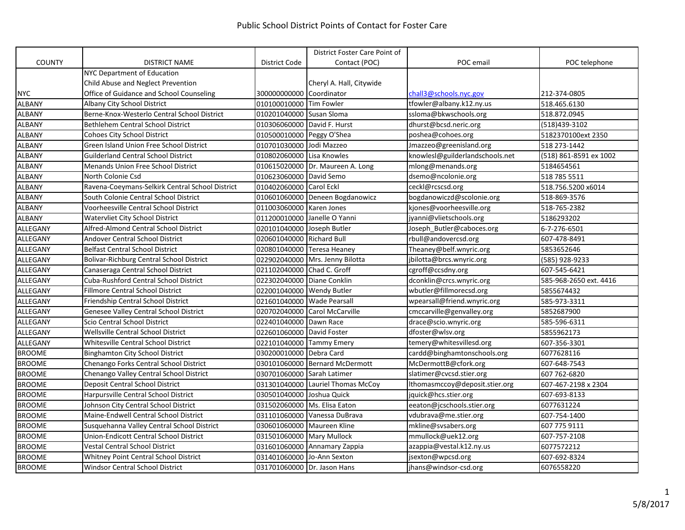|               |                                                 |                             | District Foster Care Point of     |                                 |                        |
|---------------|-------------------------------------------------|-----------------------------|-----------------------------------|---------------------------------|------------------------|
| <b>COUNTY</b> | DISTRICT NAME                                   | District Code               | Contact (POC)                     | POC email                       | POC telephone          |
|               | <b>NYC Department of Education</b>              |                             |                                   |                                 |                        |
|               | Child Abuse and Neglect Prevention              |                             | Cheryl A. Hall, Citywide          |                                 |                        |
| <b>NYC</b>    | Office of Guidance and School Counseling        | 300000000000 Coordinator    |                                   | chall3@schools.nyc.gov          | 212-374-0805           |
| <b>ALBANY</b> | Albany City School District                     | 010100010000 Tim Fowler     |                                   | tfowler@albany.k12.ny.us        | 518.465.6130           |
| <b>ALBANY</b> | Berne-Knox-Westerlo Central School District     | 010201040000 Susan Sloma    |                                   | ssloma@bkwschools.org           | 518.872.0945           |
| <b>ALBANY</b> | <b>Bethlehem Central School District</b>        | 010306060000 David F. Hurst |                                   | dhurst@bcsd.neric.org           | (518)439-3102          |
| <b>ALBANY</b> | <b>Cohoes City School District</b>              | 010500010000 Peggy O'Shea   |                                   | poshea@cohoes.org               | 5182370100ext 2350     |
| <b>ALBANY</b> | Green Island Union Free School District         | 010701030000 Jodi Mazzeo    |                                   | Jmazzeo@greenisland.org         | 518 273-1442           |
| <b>ALBANY</b> | <b>Guilderland Central School District</b>      | 010802060000 Lisa Knowles   |                                   | knowlesl@guilderlandschools.net | (518) 861-8591 ex 1002 |
| <b>ALBANY</b> | <b>Menands Union Free School District</b>       |                             | 010615020000 Dr. Maureen A. Long  | mlong@menands.org               | 5184654561             |
| <b>ALBANY</b> | North Colonie Csd                               | 010623060000 David Semo     |                                   | dsemo@ncolonie.org              | 518 785 5511           |
| <b>ALBANY</b> | Ravena-Coeymans-Selkirk Central School District | 010402060000 Carol Eckl     |                                   | ceckl@rcscsd.org                | 518.756.5200 x6014     |
| <b>ALBANY</b> | South Colonie Central School District           |                             | 010601060000 Deneen Bogdanowicz   | bogdanowiczd@scolonie.org       | 518-869-3576           |
| <b>ALBANY</b> | Voorheesville Central School District           | 011003060000 Karen Jones    |                                   | kjones@voorheesville.org        | 518-765-2382           |
| <b>ALBANY</b> | Watervliet City School District                 |                             | 011200010000 Janelle O Yanni      | jyanni@vlietschools.org         | 5186293202             |
| ALLEGANY      | Alfred-Almond Central School District           | 020101040000 Joseph Butler  |                                   | Joseph Butler@caboces.org       | 6-7-276-6501           |
| ALLEGANY      | Andover Central School District                 | 020601040000 Richard Bull   |                                   | rbull@andovercsd.org            | 607-478-8491           |
| ALLEGANY      | <b>Belfast Central School District</b>          |                             | 020801040000 Teresa Heaney        | Theaney@belf.wnyric.org         | 5853652646             |
| ALLEGANY      | Bolivar-Richburg Central School District        |                             | 022902040000   Mrs. Jenny Bilotta | jbilotta@brcs.wnyric.org        | (585) 928-9233         |
| ALLEGANY      | Canaseraga Central School District              | 021102040000 Chad C. Groff  |                                   | cgroff@ccsdny.org               | 607-545-6421           |
| ALLEGANY      | Cuba-Rushford Central School District           | 022302040000 Diane Conklin  |                                   | dconklin@crcs.wnyric.org        | 585-968-2650 ext. 4416 |
| ALLEGANY      | <b>Fillmore Central School District</b>         | 022001040000 Wendy Butler   |                                   | wbutler@fillmorecsd.org         | 5855674432             |
| ALLEGANY      | Friendship Central School District              | 021601040000 Wade Pearsall  |                                   | wpearsall@friend.wnyric.org     | 585-973-3311           |
| ALLEGANY      | <b>Genesee Valley Central School District</b>   |                             | 020702040000 Carol McCarville     | cmccarville@genvalley.org       | 5852687900             |
| ALLEGANY      | Scio Central School District                    | 022401040000 Dawn Race      |                                   | drace@scio.wnyric.org           | 585-596-6311           |
| ALLEGANY      | Wellsville Central School District              | 022601060000 David Foster   |                                   | dfoster@wlsv.org                | 5855962173             |
| ALLEGANY      | Whitesville Central School District             |                             | 022101040000 Tammy Emery          | temery@whitesvillesd.org        | 607-356-3301           |
| <b>BROOME</b> | <b>Binghamton City School District</b>          | 030200010000 Debra Card     |                                   | cardd@binghamtonschools.org     | 6077628116             |
| <b>BROOME</b> | Chenango Forks Central School District          |                             | 030101060000 Bernard McDermott    | McDermottB@cfork.org            | 607-648-7543           |
| <b>BROOME</b> | Chenango Valley Central School District         | 030701060000 Sarah Latimer  |                                   | slatimer@cvcsd.stier.org        | 607 762-6820           |
| <b>BROOME</b> | Deposit Central School District                 |                             | 031301040000 Lauriel Thomas McCoy | Ithomasmccoy@deposit.stier.org  | 607-467-2198 x 2304    |
| <b>BROOME</b> | Harpursville Central School District            | 030501040000 Joshua Quick   |                                   | jquick@hcs.stier.org            | 607-693-8133           |
| <b>BROOME</b> | Johnson City Central School District            |                             | 031502060000   Ms. Elisa Eaton    | eeaton@jcschools.stier.org      | 6077631224             |
| <b>BROOME</b> | Maine-Endwell Central School District           |                             | 031101060000 Vanessa DuBrava      | vdubrava@me.stier.org           | 607-754-1400           |
| <b>BROOME</b> | Susquehanna Valley Central School District      |                             | 030601060000 Maureen Kline        | mkline@svsabers.org             | 607 775 9111           |
| <b>BROOME</b> | Union-Endicott Central School District          | 031501060000 Mary Mullock   |                                   | mmullock@uek12.org              | 607-757-2108           |
| <b>BROOME</b> | Vestal Central School District                  |                             | 031601060000 Annamary Zappia      | azappia@vestal.k12.ny.us        | 6077572212             |
| <b>BROOME</b> | <b>Whitney Point Central School District</b>    | 031401060000 Jo-Ann Sexton  |                                   | jsexton@wpcsd.org               | 607-692-8324           |
| <b>BROOME</b> | <b>Windsor Central School District</b>          | 031701060000 Dr. Jason Hans |                                   | jhans@windsor-csd.org           | 6076558220             |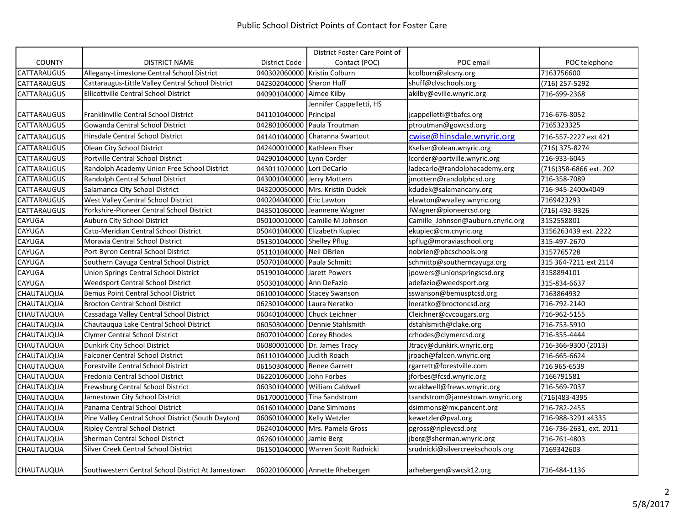|                    |                                                    |                             | District Foster Care Point of      |                                   |                         |
|--------------------|----------------------------------------------------|-----------------------------|------------------------------------|-----------------------------------|-------------------------|
| <b>COUNTY</b>      | <b>DISTRICT NAME</b>                               | District Code               | Contact (POC)                      | POC email                         | POC telephone           |
| CATTARAUGUS        | Allegany-Limestone Central School District         |                             | 040302060000 Kristin Colburn       | kcolburn@alcsny.org               | 7163756600              |
| CATTARAUGUS        | Cattaraugus-Little Valley Central School District  | 042302040000 Sharon Huff    |                                    | shuff@clvschools.org              | (716) 257-5292          |
| <b>CATTARAUGUS</b> | <b>Ellicottville Central School District</b>       | 040901040000                | Aimee Kilby                        | akilby@eville.wnyric.org          | 716-699-2368            |
|                    |                                                    |                             | Jennifer Cappelletti, HS           |                                   |                         |
| <b>CATTARAUGUS</b> | Franklinville Central School District              | 041101040000 Principal      |                                    | jcappelletti@tbafcs.org           | 716-676-8052            |
| <b>CATTARAUGUS</b> | Gowanda Central School District                    |                             | 042801060000 Paula Troutman        | ptroutman@gowcsd.org              | 7165323325              |
| <b>CATTARAUGUS</b> | Hinsdale Central School District                   |                             | 041401040000 Charanna Swartout     | cwise@hinsdale.wnyric.org         | 716-557-2227 ext 421    |
| CATTARAUGUS        | Olean City School District                         | 042400010000 Kathleen Elser |                                    | Kselser@olean.wnyric.org          | (716) 375-8274          |
| CATTARAUGUS        | Portville Central School District                  | 042901040000 Lynn Corder    |                                    | lcorder@portville.wnyric.org      | 716-933-6045            |
| <b>CATTARAUGUS</b> | Randolph Academy Union Free School District        | 043011020000 Lori DeCarlo   |                                    | ladecarlo@randolphacademy.org     | (716)358-6866 ext. 202  |
| <b>CATTARAUGUS</b> | Randolph Central School District                   | 043001040000 Jerry Mottern  |                                    | jmottern@randolphcsd.org          | 716-358-7089            |
| <b>CATTARAUGUS</b> | Salamanca City School District                     |                             | 043200050000 Mrs. Kristin Dudek    | kdudek@salamancany.org            | 716-945-2400x4049       |
| <b>CATTARAUGUS</b> | West Valley Central School District                | 040204040000 Eric Lawton    |                                    | elawton@wvalley.wnyric.org        | 7169423293              |
| CATTARAUGUS        | Yorkshire-Pioneer Central School District          |                             | 043501060000 Jeannene Wagner       | JWagner@pioneercsd.org            | (716) 492-9326          |
| CAYUGA             | Auburn City School District                        |                             | 050100010000 Camille M Johnson     | Camille Johnson@auburn.cnyric.org | 3152558801              |
| <b>CAYUGA</b>      | Cato-Meridian Central School District              |                             | 050401040000 Elizabeth Kupiec      | ekupiec@cm.cnyric.org             | 3156263439 ext. 2222    |
| <b>CAYUGA</b>      | Moravia Central School District                    | 051301040000 Shelley Pflug  |                                    | spflug@moraviaschool.org          | 315-497-2670            |
| <b>CAYUGA</b>      | Port Byron Central School District                 | 051101040000 Neil OBrien    |                                    | nobrien@pbcschools.org            | 3157765728              |
| CAYUGA             | Southern Cayuga Central School District            | 050701040000 Paula Schmitt  |                                    | schmittp@southerncayuga.org       | 315 364-7211 ext 2114   |
| CAYUGA             | Union Springs Central School District              | 051901040000 Jarett Powers  |                                    | jpowers@unionspringscsd.org       | 3158894101              |
| <b>CAYUGA</b>      | Weedsport Central School District                  | 050301040000 Ann DeFazio    |                                    | adefazio@weedsport.org            | 315-834-6637            |
| CHAUTAUQUA         | <b>Bemus Point Central School District</b>         |                             | 061001040000 Stacey Swanson        | sswanson@bemusptcsd.org           | 7163864932              |
| CHAUTAUQUA         | <b>Brocton Central School District</b>             | 062301040000 Laura Neratko  |                                    | Ineratko@broctoncsd.org           | 716-792-2140            |
| CHAUTAUQUA         | Cassadaga Valley Central School District           |                             | 060401040000 Chuck Leichner        | Cleichner@cvcougars.org           | 716-962-5155            |
| CHAUTAUQUA         | Chautauqua Lake Central School District            |                             | 060503040000 Dennie Stahlsmith     | dstahlsmith@clake.org             | 716-753-5910            |
| <b>CHAUTAUQUA</b>  | <b>Clymer Central School District</b>              | 060701040000 Corey Rhodes   |                                    | crhodes@clymercsd.org             | 716-355-4444            |
| <b>CHAUTAUQUA</b>  | Dunkirk City School District                       |                             | 060800010000 Dr. James Tracy       | Jtracy@dunkirk.wnyric.org         | 716-366-9300 (2013)     |
| <b>CHAUTAUQUA</b>  | <b>Falconer Central School District</b>            | 061101040000 Judith Roach   |                                    | jroach@falcon.wnyric.org          | 716-665-6624            |
| <b>CHAUTAUQUA</b>  | <b>Forestville Central School District</b>         | 061503040000 Renee Garrett  |                                    | rgarrett@forestville.com          | 716 965-6539            |
| <b>CHAUTAUQUA</b>  | Fredonia Central School District                   | 062201060000 John Forbes    |                                    | jforbes@fcsd.wnyric.org           | 7166791581              |
| <b>CHAUTAUQUA</b>  | Frewsburg Central School District                  |                             | 060301040000 William Caldwell      | wcaldwell@frews.wnyric.org        | 716-569-7037            |
| <b>CHAUTAUQUA</b>  | Jamestown City School District                     |                             | 061700010000 Tina Sandstrom        | tsandstrom@jamestown.wnyric.org   | (716)483-4395           |
| <b>CHAUTAUQUA</b>  | Panama Central School District                     |                             | 061601040000 Dane Simmons          | dsimmons@mx.pancent.org           | 716-782-2455            |
| <b>CHAUTAUQUA</b>  | Pine Valley Central School District (South Dayton) | 060601040000 Kelly Wetzler  |                                    | kewetzler@pval.org                | 716-988-3291 x4335      |
| <b>CHAUTAUQUA</b>  | <b>Ripley Central School District</b>              |                             | 062401040000 Mrs. Pamela Gross     | pgross@ripleycsd.org              | 716-736-2631, ext. 2011 |
| <b>CHAUTAUQUA</b>  | Sherman Central School District                    | 062601040000 Jamie Berg     |                                    | jberg@sherman.wnyric.org          | 716-761-4803            |
| <b>CHAUTAUQUA</b>  | Silver Creek Central School District               |                             | 061501040000 Warren Scott Rudnicki | srudnicki@silvercreekschools.org  | 7169342603              |
| <b>CHAUTAUQUA</b>  | Southwestern Central School District At Jamestown  |                             | 060201060000 Annette Rhebergen     | arhebergen@swcsk12.org            | 716-484-1136            |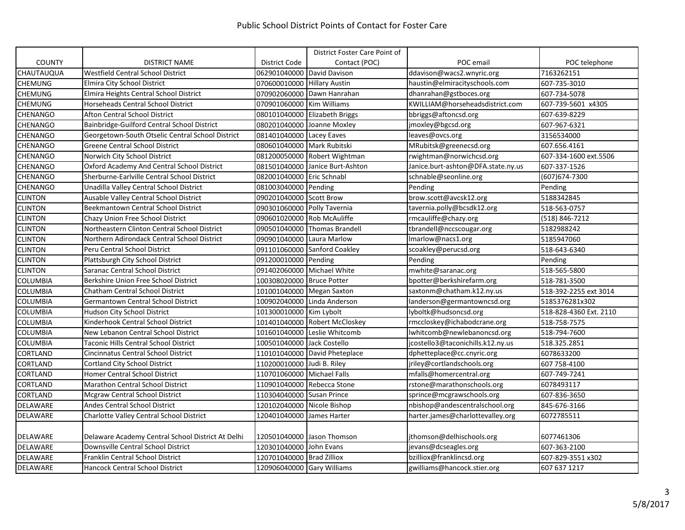|                   |                                                   |                             | District Foster Care Point of   |                                    |                        |
|-------------------|---------------------------------------------------|-----------------------------|---------------------------------|------------------------------------|------------------------|
| <b>COUNTY</b>     | <b>DISTRICT NAME</b>                              | District Code               | Contact (POC)                   | POC email                          | POC telephone          |
| <b>CHAUTAUQUA</b> | Westfield Central School District                 | 062901040000 David Davison  |                                 | ddavison@wacs2.wnyric.org          | 7163262151             |
| CHEMUNG           | Elmira City School District                       | 070600010000 Hillary Austin |                                 | haustin@elmiracityschools.com      | 607-735-3010           |
| <b>CHEMUNG</b>    | Elmira Heights Central School District            |                             | 070902060000 Dawn Hanrahan      | dhanrahan@gstboces.org             | 607-734-5078           |
| <b>CHEMUNG</b>    | Horseheads Central School District                | 070901060000 Kim Williams   |                                 | KWILLIAM@horseheadsdistrict.com    | 607-739-5601 x4305     |
| <b>CHENANGO</b>   | Afton Central School District                     |                             | 080101040000 Elizabeth Briggs   | bbriggs@aftoncsd.org               | 607-639-8229           |
| CHENANGO          | Bainbridge-Guilford Central School District       |                             | 080201040000 Joanne Moxley      | jmoxley@bgcsd.org                  | 607-967-6321           |
| CHENANGO          | Georgetown-South Otselic Central School District  | 081401040000 Lacey Eaves    |                                 | leaves@ovcs.org                    | 3156534000             |
| <b>CHENANGO</b>   | <b>Greene Central School District</b>             | 080601040000 Mark Rubitski  |                                 | MRubitsk@greenecsd.org             | 607.656.4161           |
| <b>CHENANGO</b>   | Norwich City School District                      |                             | 081200050000 Robert Wightman    | rwightman@norwichcsd.org           | 607-334-1600 ext.5506  |
| <b>CHENANGO</b>   | Oxford Academy And Central School District        |                             | 081501040000 Janice Burt-Ashton | Janice.burt-ashton@DFA.state.ny.us | 607-337-1526           |
| <b>CHENANGO</b>   | Sherburne-Earlville Central School District       | 082001040000 Eric Schnabl   |                                 | schnable@seonline.org              | (607) 674-7300         |
| <b>CHENANGO</b>   | Unadilla Valley Central School District           | 081003040000 Pending        |                                 | Pending                            | Pending                |
| <b>CLINTON</b>    | Ausable Valley Central School District            | 090201040000 Scott Brow     |                                 | brow.scott@avcsk12.org             | 5188342845             |
| <b>CLINTON</b>    | Beekmantown Central School District               | 090301060000 Polly Tavernia |                                 | tavernia.polly@bcsdk12.org         | 518-563-0757           |
| <b>CLINTON</b>    | Chazy Union Free School District                  | 090601020000 Rob McAuliffe  |                                 | rmcauliffe@chazy.org               | (518) 846-7212         |
| <b>CLINTON</b>    | Northeastern Clinton Central School District      |                             | 090501040000 Thomas Brandell    | tbrandell@nccscougar.org           | 5182988242             |
| <b>CLINTON</b>    | Northern Adirondack Central School District       | 090901040000 Laura Marlow   |                                 | Imarlow@nacs1.org                  | 5185947060             |
| <b>CLINTON</b>    | Peru Central School District                      |                             | 091101060000 Sanford Coakley    | scoakley@perucsd.org               | 518-643-6340           |
| <b>CLINTON</b>    | Plattsburgh City School District                  | 091200010000 Pending        |                                 | Pending                            | Pending                |
| <b>CLINTON</b>    | Saranac Central School District                   |                             | 091402060000 Michael White      | mwhite@saranac.org                 | 518-565-5800           |
| <b>COLUMBIA</b>   | Berkshire Union Free School District              | 100308020000 Bruce Potter   |                                 | bpotter@berkshirefarm.org          | 518-781-3500           |
| <b>COLUMBIA</b>   | <b>Chatham Central School District</b>            | 101001040000 Megan Saxton   |                                 | saxtonm@chatham.k12.ny.us          | 518-392-2255 ext 3014  |
| <b>COLUMBIA</b>   | <b>Germantown Central School District</b>         |                             | 100902040000 Linda Anderson     | landerson@germantowncsd.org        | 5185376281x302         |
| <b>COLUMBIA</b>   | Hudson City School District                       | 101300010000 Kim Lybolt     |                                 | lyboltk@hudsoncsd.org              | 518-828-4360 Ext. 2110 |
| <b>COLUMBIA</b>   | Kinderhook Central School District                |                             | 101401040000 Robert McCloskey   | rmccloskey@ichabodcrane.org        | 518-758-7575           |
| <b>COLUMBIA</b>   | New Lebanon Central School District               |                             | 101601040000 Leslie Whitcomb    | lwhitcomb@newlebanoncsd.org        | 518-794-7600           |
| <b>COLUMBIA</b>   | Taconic Hills Central School District             | 100501040000 Jack Costello  |                                 | icostello3@taconichills.k12.ny.us  | 518.325.2851           |
| CORTLAND          | Cincinnatus Central School District               |                             | 110101040000 David Pheteplace   | dphetteplace@cc.cnyric.org         | 6078633200             |
| <b>CORTLAND</b>   | Cortland City School District                     | 110200010000 Judi B. Riley  |                                 | jriley@cortlandschools.org         | 607 758-4100           |
| <b>CORTLAND</b>   | Homer Central School District                     | 110701060000 Michael Falls  |                                 | mfalls@homercentral.org            | 607-749-7241           |
| <b>CORTLAND</b>   | Marathon Central School District                  |                             | 110901040000 Rebecca Stone      | rstone@marathonschools.org         | 6078493117             |
| <b>CORTLAND</b>   | <b>Mcgraw Central School District</b>             | 110304040000 Susan Prince   |                                 | sprince@mcgrawschools.org          | 607-836-3650           |
| DELAWARE          | <b>Andes Central School District</b>              | 120102040000 Nicole Bishop  |                                 | nbishop@andescentralschool.org     | 845-676-3166           |
| <b>DELAWARE</b>   | Charlotte Valley Central School District          | 120401040000 James Harter   |                                 | harter.james@charlottevalley.org   | 6072785511             |
| <b>DELAWARE</b>   | Delaware Academy Central School District At Delhi |                             | 120501040000 Jason Thomson      | jthomson@delhischools.org          | 6077461306             |
| <b>DELAWARE</b>   | Downsville Central School District                | 120301040000 John Evans     |                                 | jevans@dcseagles.org               | 607-363-2100           |
| <b>DELAWARE</b>   | Franklin Central School District                  | 120701040000 Brad Zilliox   |                                 | bzilliox@franklincsd.org           | 607-829-3551 x302      |
| DELAWARE          | <b>Hancock Central School District</b>            | 120906040000 Gary Williams  |                                 | gwilliams@hancock.stier.org        | 607 637 1217           |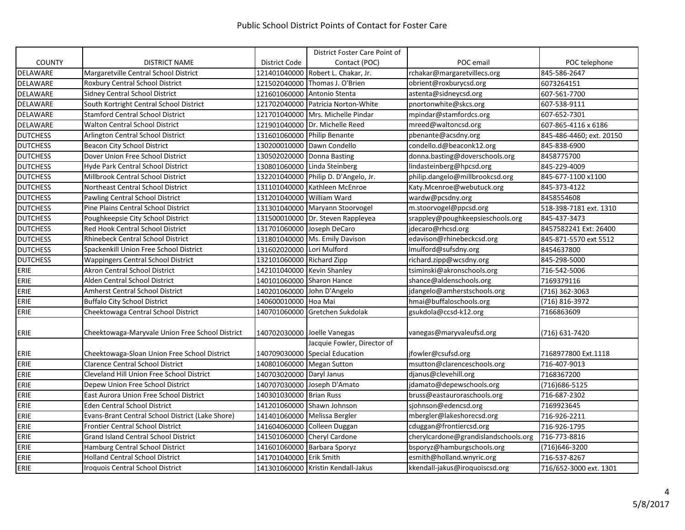|                 |                                                  |                             | District Foster Care Point of        |                                      |                          |
|-----------------|--------------------------------------------------|-----------------------------|--------------------------------------|--------------------------------------|--------------------------|
| <b>COUNTY</b>   | <b>DISTRICT NAME</b>                             | District Code               | Contact (POC)                        | POC email                            | POC telephone            |
| <b>DELAWARE</b> | Margaretville Central School District            |                             | 121401040000 Robert L. Chakar, Jr.   | rchakar@margaretvillecs.org          | 845-586-2647             |
| <b>DELAWARE</b> | Roxbury Central School District                  |                             | 121502040000 Thomas J. O'Brien       | obrient@roxburycsd.org               | 6073264151               |
| DELAWARE        | Sidney Central School District                   | 121601060000                | Antonio Stenta                       | astenta@sidneycsd.org                | 607-561-7700             |
| DELAWARE        | South Kortright Central School District          |                             | 121702040000 Patricia Norton-White   | pnortonwhite@skcs.org                | 607-538-9111             |
| DELAWARE        | <b>Stamford Central School District</b>          |                             | 121701040000 Mrs. Michelle Pindar    | mpindar@stamfordcs.org               | 607-652-7301             |
| <b>DELAWARE</b> | <b>Walton Central School District</b>            |                             | 121901040000 Dr. Michelle Reed       | mreed@waltoncsd.org                  | 607-865-4116 x 6186      |
| <b>DUTCHESS</b> | Arlington Central School District                | 131601060000 Philip Benante |                                      | pbenante@acsdny.org                  | 845-486-4460; ext. 20150 |
| <b>DUTCHESS</b> | Beacon City School District                      |                             | 130200010000 Dawn Condello           | condello.d@beaconk12.org             | 845-838-6900             |
| <b>DUTCHESS</b> | Dover Union Free School District                 |                             | 130502020000 Donna Basting           | donna.basting@doverschools.org       | 8458775700               |
| <b>DUTCHESS</b> | Hyde Park Central School District                |                             | 130801060000 Linda Steinberg         | lindasteinberg@hpcsd.org             | 845-229-4009             |
| <b>DUTCHESS</b> | Millbrook Central School District                |                             | 132201040000 Philip D. D'Angelo, Jr. | philip.dangelo@millbrookcsd.org      | 845-677-1100 x1100       |
| <b>DUTCHESS</b> | Northeast Central School District                |                             | 131101040000 Kathleen McEnroe        | Katy.Mcenroe@webutuck.org            | 845-373-4122             |
| <b>DUTCHESS</b> | Pawling Central School District                  | 131201040000 William Ward   |                                      | wardw@pcsdny.org                     | 8458554608               |
| <b>DUTCHESS</b> | Pine Plains Central School District              |                             | 131301040000 Maryann Stoorvogel      | m.stoorvogel@ppcsd.org               | 518-398-7181 ext. 1310   |
| <b>DUTCHESS</b> | Poughkeepsie City School District                |                             | 131500010000 Dr. Steven Rappleyea    | srappley@poughkeepsieschools.org     | 845-437-3473             |
| <b>DUTCHESS</b> | Red Hook Central School District                 |                             | 131701060000 Joseph DeCaro           | jdecaro@rhcsd.org                    | 8457582241 Ext: 26400    |
| <b>DUTCHESS</b> | <b>Rhinebeck Central School District</b>         |                             | 131801040000 Ms. Emily Davison       | edavison@rhinebeckcsd.org            | 845-871-5570 ext 5512    |
| <b>DUTCHESS</b> | Spackenkill Union Free School District           | 131602020000 Lori Mulford   |                                      | Imulford@sufsdny.org                 | 8454637800               |
| <b>DUTCHESS</b> | <b>Wappingers Central School District</b>        | 132101060000 Richard Zipp   |                                      | richard.zipp@wcsdny.org              | 845-298-5000             |
| ERIE            | <b>Akron Central School District</b>             | 142101040000 Kevin Shanley  |                                      | tsiminski@akronschools.org           | 716-542-5006             |
| ERIE            | Alden Central School District                    | 140101060000 Sharon Hance   |                                      | shance@aldenschools.org              | 7169379116               |
| ERIE            | <b>Amherst Central School District</b>           | 140201060000 John D'Angelo  |                                      | jdangelo@amherstschools.org          | (716) 362-3063           |
| ERIE            | <b>Buffalo City School District</b>              | 140600010000                | Hoa Mai                              | hmai@buffaloschools.org              | (716) 816-3972           |
| ERIE            | Cheektowaga Central School District              | 140701060000                | <b>Gretchen Sukdolak</b>             | gsukdola@ccsd-k12.org                | 7166863609               |
| ERIE            | Cheektowaga-Maryvale Union Free School District  |                             | 140702030000 Joelle Vanegas          | vanegas@maryvaleufsd.org             | (716) 631-7420           |
|                 |                                                  |                             | Jacquie Fowler, Director of          |                                      |                          |
| ERIE            | Cheektowaga-Sloan Union Free School District     |                             | 140709030000 Special Education       | jfowler@csufsd.org                   | 7168977800 Ext.1118      |
| ERIE            | <b>Clarence Central School District</b>          | 140801060000 Megan Sutton   |                                      | msutton@clarenceschools.org          | 716-407-9013             |
| ERIE            | Cleveland Hill Union Free School District        | 140703020000 Daryl Janus    |                                      | djanus@clevehill.org                 | 7168367200               |
| ERIE            | Depew Union Free School District                 |                             | 140707030000 Joseph D'Amato          | jdamato@depewschools.org             | (716) 686-5125           |
| ERIE            | East Aurora Union Free School District           | 140301030000 Brian Russ     |                                      | bruss@eastauroraschools.org          | 716-687-2302             |
| ERIE            | Eden Central School District                     |                             | 141201060000 Shawn Johnson           | sjohnson@edencsd.org                 | 7169923645               |
| ERIE            | Evans-Brant Central School District (Lake Shore) |                             | 141401060000 Melissa Bergler         | mbergler@lakeshorecsd.org            | 716-926-2211             |
| ERIE            | <b>Frontier Central School District</b>          | 141604060000                | Colleen Duggan                       | cduggan@frontiercsd.org              | 716-926-1795             |
| ERIE            | <b>Grand Island Central School District</b>      |                             | 141501060000 Cheryl Cardone          | cherylcardone@grandislandschools.org | 716-773-8816             |
| ERIE            | <b>Hamburg Central School District</b>           |                             | 141601060000 Barbara Sporyz          | bsporyz@hamburgschools.org           | (716)646-3200            |
| ERIE            | <b>Holland Central School District</b>           | 141701040000 Erik Smith     |                                      | esmith@holland.wnyric.org            | 716-537-8267             |
| ERIE            | Iroquois Central School District                 |                             | 141301060000 Kristin Kendall-Jakus   | kkendall-jakus@iroquoiscsd.org       | 716/652-3000 ext. 1301   |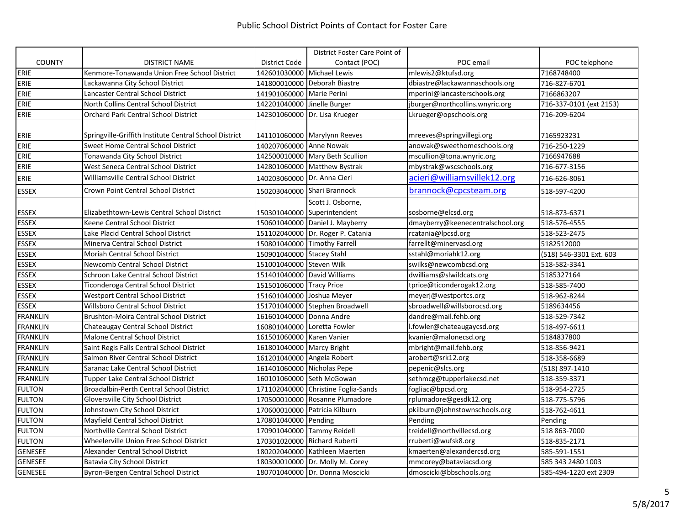|                 |                                                        |                             | District Foster Care Point of       |                                  |                         |
|-----------------|--------------------------------------------------------|-----------------------------|-------------------------------------|----------------------------------|-------------------------|
| <b>COUNTY</b>   | <b>DISTRICT NAME</b>                                   | District Code               | Contact (POC)                       | POC email                        | POC telephone           |
| ERIE            | Kenmore-Tonawanda Union Free School District           | 142601030000 Michael Lewis  |                                     | mlewis2@ktufsd.org               | 7168748400              |
| ERIE            | Lackawanna City School District                        |                             | 141800010000 Deborah Biastre        | dbiastre@lackawannaschools.org   | 716-827-6701            |
| ERIE            | Lancaster Central School District                      | 141901060000 Marie Perini   |                                     | mperini@lancasterschools.org     | 7166863207              |
| ERIE            | North Collins Central School District                  | 142201040000 Jinelle Burger |                                     | jburger@northcollins.wnyric.org  | 716-337-0101 (ext 2153) |
| ERIE            | <b>Orchard Park Central School District</b>            |                             | 142301060000 Dr. Lisa Krueger       | Lkrueger@opschools.org           | 716-209-6204            |
| ERIE            | Springville-Griffith Institute Central School District |                             | 141101060000 Marylynn Reeves        | mreeves@springvillegi.org        | 7165923231              |
| ERIE            | Sweet Home Central School District                     | 140207060000 Anne Nowak     |                                     | anowak@sweethomeschools.org      | 716-250-1229            |
| ERIE            | Tonawanda City School District                         |                             | 142500010000 Mary Beth Scullion     | mscullion@tona.wnyric.org        | 7166947688              |
| ERIE            | West Seneca Central School District                    |                             | 142801060000 Matthew Bystrak        | mbystrak@wscschools.org          | 716-677-3156            |
| ERIE            | Williamsville Central School District                  | 140203060000 Dr. Anna Cieri |                                     | acieri@williamsvillek12.org      | 716-626-8061            |
| <b>ESSEX</b>    | Crown Point Central School District                    |                             | 150203040000 Shari Brannock         | brannock@cpcsteam.org            | 518-597-4200            |
|                 |                                                        |                             | Scott J. Osborne,                   |                                  |                         |
| <b>ESSEX</b>    | Elizabethtown-Lewis Central School District            |                             | 150301040000 Superintendent         | sosborne@elcsd.org               | 518-873-6371            |
| <b>ESSEX</b>    | Keene Central School District                          |                             | 150601040000 Daniel J. Mayberry     | dmayberry@keenecentralschool.org | 518-576-4555            |
| <b>ESSEX</b>    | Lake Placid Central School District                    |                             | 151102040000 Dr. Roger P. Catania   | rcatania@lpcsd.org               | 518-523-2475            |
| <b>ESSEX</b>    | Minerva Central School District                        |                             | 150801040000 Timothy Farrell        | farrellt@minervasd.org           | 5182512000              |
| <b>ESSEX</b>    | Moriah Central School District                         | 150901040000 Stacey Stahl   |                                     | sstahl@moriahk12.org             | (518) 546-3301 Ext. 603 |
| <b>ESSEX</b>    | Newcomb Central School District                        | 151001040000 Steven Wilk    |                                     | swilks@newcombcsd.org            | 518-582-3341            |
| <b>ESSEX</b>    | Schroon Lake Central School District                   |                             | 151401040000 David Williams         | dwilliams@slwildcats.org         | 5185327164              |
| <b>ESSEX</b>    | Ticonderoga Central School District                    | 151501060000 Tracy Price    |                                     | tprice@ticonderogak12.org        | 518-585-7400            |
| <b>ESSEX</b>    | <b>Westport Central School District</b>                | 151601040000 Joshua Meyer   |                                     | meyerj@westportcs.org            | 518-962-8244            |
| <b>ESSEX</b>    | Willsboro Central School District                      |                             | 151701040000 Stephen Broadwell      | sbroadwell@willsborocsd.org      | 5189634456              |
| <b>FRANKLIN</b> | <b>Brushton-Moira Central School District</b>          | 161601040000 Donna Andre    |                                     | dandre@mail.fehb.org             | 518-529-7342            |
| <b>FRANKLIN</b> | Chateaugay Central School District                     | 160801040000 Loretta Fowler |                                     | l.fowler@chateaugaycsd.org       | 518-497-6611            |
| <b>FRANKLIN</b> | Malone Central School District                         | 161501060000 Karen Vanier   |                                     | kvanier@malonecsd.org            | 5184837800              |
| <b>FRANKLIN</b> | Saint Regis Falls Central School District              | 161801040000 Marcy Bright   |                                     | mbright@mail.fehb.org            | 518-856-9421            |
| <b>FRANKLIN</b> | Salmon River Central School District                   | 161201040000 Angela Robert  |                                     | arobert@srk12.org                | 518-358-6689            |
| <b>FRANKLIN</b> | Saranac Lake Central School District                   | 161401060000 Nicholas Pepe  |                                     | pepenic@slcs.org                 | (518) 897-1410          |
| <b>FRANKLIN</b> | Tupper Lake Central School District                    |                             | 160101060000 Seth McGowan           | sethmcg@tupperlakecsd.net        | 518-359-3371            |
| <b>FULTON</b>   | Broadalbin-Perth Central School District               |                             | 171102040000 Christine Foglia-Sands | fogliac@bpcsd.org                | 518-954-2725            |
| <b>FULTON</b>   | Gloversville City School District                      |                             | 170500010000 Rosanne Plumadore      | rplumadore@gesdk12.org           | 518-775-5796            |
| <b>FULTON</b>   | Johnstown City School District                         |                             | 170600010000 Patricia Kilburn       | pkilburn@johnstownschools.org    | 518-762-4611            |
| <b>FULTON</b>   | Mayfield Central School District                       | 170801040000 Pending        |                                     | Pending                          | Pending                 |
| <b>FULTON</b>   | Northville Central School District                     | 170901040000 Tammy Reidell  |                                     | treidell@northvillecsd.org       | 518 863-7000            |
| <b>FULTON</b>   | Wheelerville Union Free School District                |                             | 170301020000 Richard Ruberti        | rruberti@wufsk8.org              | 518-835-2171            |
| <b>GENESEE</b>  | Alexander Central School District                      |                             | 180202040000 Kathleen Maerten       | kmaerten@alexandercsd.org        | 585-591-1551            |
| <b>GENESEE</b>  | Batavia City School District                           |                             | 180300010000 Dr. Molly M. Corey     | mmcorey@bataviacsd.org           | 585 343 2480 1003       |
| <b>GENESEE</b>  | Byron-Bergen Central School District                   |                             | 180701040000 Dr. Donna Moscicki     | dmoscicki@bbschools.org          | 585-494-1220 ext 2309   |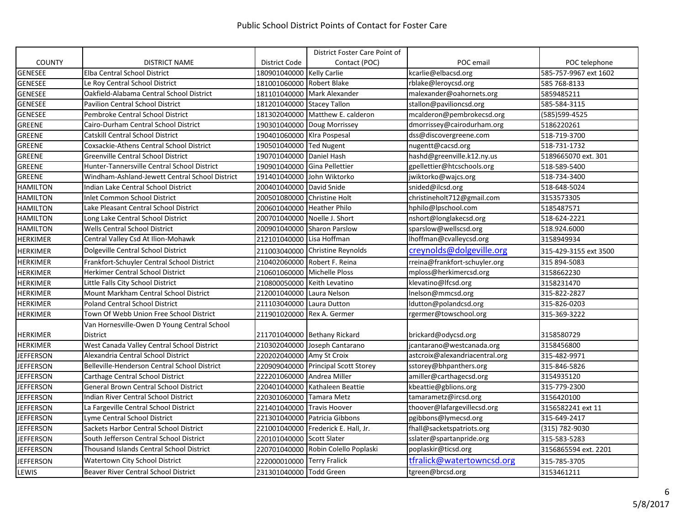|                  |                                                |                              | District Foster Care Point of       |                                |                       |
|------------------|------------------------------------------------|------------------------------|-------------------------------------|--------------------------------|-----------------------|
| <b>COUNTY</b>    | <b>DISTRICT NAME</b>                           | District Code                | Contact (POC)                       | POC email                      | POC telephone         |
| <b>GENESEE</b>   | <b>Elba Central School District</b>            | 180901040000 Kelly Carlie    |                                     | kcarlie@elbacsd.org            | 585-757-9967 ext 1602 |
| <b>GENESEE</b>   | Le Roy Central School District                 | 181001060000 Robert Blake    |                                     | rblake@leroycsd.org            | 585 768-8133          |
| <b>GENESEE</b>   | Oakfield-Alabama Central School District       |                              | 181101040000 Mark Alexander         | malexander@oahornets.org       | 5859485211            |
| <b>GENESEE</b>   | <b>Pavilion Central School District</b>        | 181201040000 Stacey Tallon   |                                     | stallon@pavilioncsd.org        | 585-584-3115          |
| <b>GENESEE</b>   | Pembroke Central School District               |                              | 181302040000 Matthew E. calderon    | mcalderon@pembrokecsd.org      | (585)599-4525         |
| <b>GREENE</b>    | Cairo-Durham Central School District           |                              | 190301040000 Doug Morrissey         | dmorrissey@cairodurham.org     | 5186220261            |
| <b>GREENE</b>    | <b>Catskill Central School District</b>        | 190401060000 KIra Pospesal   |                                     | dss@discovergreene.com         | 518-719-3700          |
| <b>GREENE</b>    | Coxsackie-Athens Central School District       | 190501040000 Ted Nugent      |                                     | nugentt@cacsd.org              | 518-731-1732          |
| <b>GREENE</b>    | <b>Greenville Central School District</b>      | 190701040000 Daniel Hash     |                                     | hashd@greenville.k12.ny.us     | 5189665070 ext. 301   |
| <b>GREENE</b>    | Hunter-Tannersville Central School District    | 190901040000 Gina Pellettier |                                     | gpellettier@htcschools.org     | 518-589-5400          |
| <b>GREENE</b>    | Windham-Ashland-Jewett Central School District | 191401040000 John Wiktorko   |                                     | jwiktorko@wajcs.org            | 518-734-3400          |
| <b>HAMILTON</b>  | Indian Lake Central School District            | 200401040000 David Snide     |                                     | snided@ilcsd.org               | 518-648-5024          |
| <b>HAMILTON</b>  | <b>Inlet Common School District</b>            | 200501080000                 | <b>Christine Holt</b>               | christineholt712@gmail.com     | 3153573305            |
| <b>HAMILTON</b>  | Lake Pleasant Central School District          | 200601040000 Heather Philo   |                                     | hphilo@lpschool.com            | 5185487571            |
| <b>HAMILTON</b>  | Long Lake Central School District              | 200701040000 Noelle J. Short |                                     | nshort@longlakecsd.org         | 518-624-2221          |
| <b>HAMILTON</b>  | <b>Wells Central School District</b>           |                              | 200901040000 Sharon Parslow         | sparslow@wellscsd.org          | 518.924.6000          |
| <b>HERKIMER</b>  | Central Valley Csd At Ilion-Mohawk             | 212101040000 Lisa Hoffman    |                                     | lhoffman@cvalleycsd.org        | 3158949934            |
| <b>HERKIMER</b>  | Dolgeville Central School District             |                              | 211003040000 Christine Reynolds     | creynolds@dolgeville.org       | 315-429-3155 ext 3500 |
| <b>HERKIMER</b>  | Frankfort-Schuyler Central School District     |                              | 210402060000 Robert F. Reina        | rreina@frankfort-schuyler.org  | 315 894-5083          |
| <b>HERKIMER</b>  | <b>Herkimer Central School District</b>        | 210601060000 Michelle Ploss  |                                     | mploss@herkimercsd.org         | 3158662230            |
| <b>HERKIMER</b>  | Little Falls City School District              | 210800050000 Keith Levatino  |                                     | klevatino@lfcsd.org            | 3158231470            |
| <b>HERKIMER</b>  | Mount Markham Central School District          | 212001040000 Laura Nelson    |                                     | Inelson@mmcsd.org              | 315-822-2827          |
| <b>HERKIMER</b>  | <b>Poland Central School District</b>          | 211103040000 Laura Dutton    |                                     | ldutton@polandcsd.org          | 315-826-0203          |
| <b>HERKIMER</b>  | Town Of Webb Union Free School District        | 211901020000                 | Rex A. Germer                       | rgermer@towschool.org          | 315-369-3222          |
|                  | Van Hornesville-Owen D Young Central School    |                              |                                     |                                |                       |
| <b>HERKIMER</b>  | District                                       |                              | 211701040000 Bethany Rickard        | brickard@odycsd.org            | 3158580729            |
| <b>HERKIMER</b>  | West Canada Valley Central School District     |                              | 210302040000 Joseph Cantarano       | jcantarano@westcanada.org      | 3158456800            |
| <b>JEFFERSON</b> | Alexandria Central School District             | 220202040000 Amy St Croix    |                                     | astcroix@alexandriacentral.org | 315-482-9971          |
| <b>JEFFERSON</b> | Belleville-Henderson Central School District   |                              | 220909040000 Principal Scott Storey | sstorey@bhpanthers.org         | 315-846-5826          |
| <b>JEFFERSON</b> | Carthage Central School District               | 222201060000 Andrea Miller   |                                     | amiller@carthagecsd.org        | 3154935120            |
| <b>JEFFERSON</b> | <b>General Brown Central School District</b>   |                              | 220401040000 Kathaleen Beattie      | kbeattie@gblions.org           | 315-779-2300          |
| <b>JEFFERSON</b> | <b>Indian River Central School District</b>    | 220301060000 Tamara Metz     |                                     | tamarametz@ircsd.org           | 3156420100            |
| <b>JEFFERSON</b> | La Fargeville Central School District          | 221401040000 Travis Hoover   |                                     | thoover@lafargevillecsd.org    | 3156582241 ext 11     |
| <b>JEFFERSON</b> | Lyme Central School District                   |                              | 221301040000 Patricia Gibbons       | pgibbons@lymecsd.org           | 315-649-2417          |
| <b>JEFFERSON</b> | Sackets Harbor Central School District         |                              | 221001040000 Frederick E. Hall, Jr. | fhall@sacketspatriots.org      | (315) 782-9030        |
| JEFFERSON        | South Jefferson Central School District        | 220101040000 Scott Slater    |                                     | sslater@spartanpride.org       | 315-583-5283          |
| <b>JEFFERSON</b> | Thousand Islands Central School District       |                              | 220701040000 Robin Colello Poplaski | poplaskir@ticsd.org            | 3156865594 ext. 2201  |
| <b>JEFFERSON</b> | Watertown City School District                 | 222000010000 Terry Fralick   |                                     | tfralick@watertowncsd.org      | 315-785-3705          |
| LEWIS            | Beaver River Central School District           | 231301040000 Todd Green      |                                     | tgreen@brcsd.org               | 3153461211            |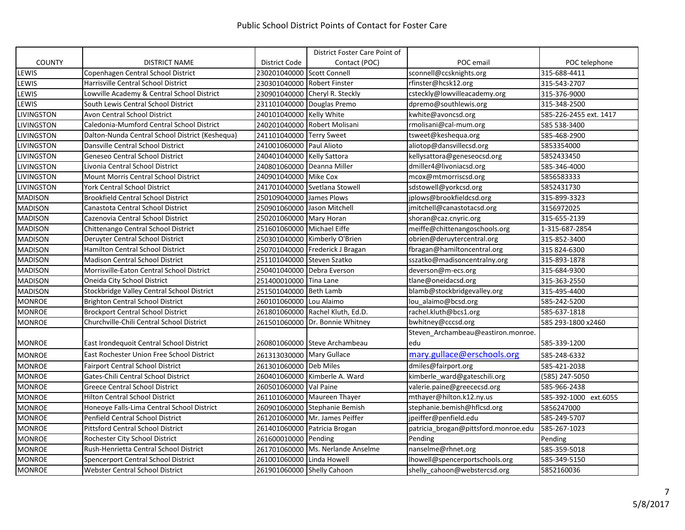|                   |                                                 |                             | District Foster Care Point of     |                                      |                        |
|-------------------|-------------------------------------------------|-----------------------------|-----------------------------------|--------------------------------------|------------------------|
| <b>COUNTY</b>     | <b>DISTRICT NAME</b>                            | <b>District Code</b>        | Contact (POC)                     | POC email                            | POC telephone          |
| LEWIS             | Copenhagen Central School District              | 230201040000 Scott Connell  |                                   | sconnell@ccsknights.org              | 315-688-4411           |
| LEWIS             | Harrisville Central School District             | 230301040000 Robert Finster |                                   | rfinster@hcsk12.org                  | 315-543-2707           |
| LEWIS             | Lowville Academy & Central School District      |                             | 230901040000 Cheryl R. Steckly    | csteckly@lowvilleacademy.org         | 315-376-9000           |
| LEWIS             | South Lewis Central School District             |                             | 231101040000 Douglas Premo        | dpremo@southlewis.org                | 315-348-2500           |
| <b>LIVINGSTON</b> | Avon Central School District                    | 240101040000 Kelly White    |                                   | kwhite@avoncsd.org                   | 585-226-2455 ext. 1417 |
| <b>LIVINGSTON</b> | Caledonia-Mumford Central School District       |                             | 240201040000 Robert Molisani      | rmolisani@cal-mum.org                | 585 538-3400           |
| <b>LIVINGSTON</b> | Dalton-Nunda Central School District (Keshequa) | 241101040000 Terry Sweet    |                                   | tsweet@keshequa.org                  | 585-468-2900           |
| <b>LIVINGSTON</b> | Dansville Central School District               | 241001060000 Paul Alioto    |                                   | aliotop@dansvillecsd.org             | 5853354000             |
| <b>LIVINGSTON</b> | <b>Geneseo Central School District</b>          | 240401040000 Kelly Sattora  |                                   | kellysattora@geneseocsd.org          | 5852433450             |
| <b>LIVINGSTON</b> | Livonia Central School District                 | 240801060000 Deanna Miller  |                                   | dmiller4@livoniacsd.org              | 585-346-4000           |
| <b>LIVINGSTON</b> | <b>Mount Morris Central School District</b>     | 240901040000 Mike Cox       |                                   | mcox@mtmorriscsd.org                 | 5856583333             |
| <b>LIVINGSTON</b> | <b>York Central School District</b>             |                             | 241701040000 Svetlana Stowell     | sdstowell@yorkcsd.org                | 5852431730             |
| <b>MADISON</b>    | <b>Brookfield Central School District</b>       | 250109040000 James Plows    |                                   | jplows@brookfieldcsd.org             | 315-899-3323           |
| <b>MADISON</b>    | Canastota Central School District               | 250901060000 Jason Mitchell |                                   | jmitchell@canastotacsd.org           | 3156972025             |
| <b>MADISON</b>    | Cazenovia Central School District               | 250201060000 Mary Horan     |                                   | shoran@caz.cnyric.org                | 315-655-2139           |
| <b>MADISON</b>    | Chittenango Central School District             | 251601060000 Michael Eiffe  |                                   | meiffe@chittenangoschools.org        | 1-315-687-2854         |
| <b>MADISON</b>    | Deruyter Central School District                |                             | 250301040000 Kimberly O'Brien     | obrien@deruytercentral.org           | 315-852-3400           |
| <b>MADISON</b>    | <b>Hamilton Central School District</b>         |                             | 250701040000 Frederick J Bragan   | fbragan@hamiltoncentral.org          | 315 824-6300           |
| <b>MADISON</b>    | <b>Madison Central School District</b>          | 251101040000 Steven Szatko  |                                   | sszatko@madisoncentralny.org         | 315-893-1878           |
| <b>MADISON</b>    | Morrisville-Eaton Central School District       |                             | 250401040000 Debra Everson        | deverson@m-ecs.org                   | 315-684-9300           |
| <b>MADISON</b>    | Oneida City School District                     | 251400010000 Tina Lane      |                                   | tlane@oneidacsd.org                  | 315-363-2550           |
| <b>MADISON</b>    | Stockbridge Valley Central School District      | 251501040000 Beth Lamb      |                                   | blamb@stockbridgevalley.org          | 315-495-4400           |
| <b>MONROE</b>     | <b>Brighton Central School District</b>         | 260101060000 Lou Alaimo     |                                   | lou alaimo@bcsd.org                  | 585-242-5200           |
| <b>MONROE</b>     | <b>Brockport Central School District</b>        |                             | 261801060000 Rachel Kluth, Ed.D.  | rachel.kluth@bcs1.org                | 585-637-1818           |
| <b>MONROE</b>     | Churchville-Chili Central School District       |                             | 261501060000 Dr. Bonnie Whitney   | bwhitney@cccsd.org                   | 585 293-1800 x2460     |
|                   |                                                 |                             |                                   | Steven_Archambeau@eastiron.monroe.   |                        |
| <b>MONROE</b>     | East Irondequoit Central School District        |                             | 260801060000 Steve Archambeau     | edu                                  | 585-339-1200           |
| <b>MONROE</b>     | East Rochester Union Free School District       | 261313030000 Mary Gullace   |                                   | mary.gullace@erschools.org           | 585-248-6332           |
| <b>MONROE</b>     | <b>Fairport Central School District</b>         | 261301060000 Deb Miles      |                                   | dmiles@fairport.org                  | 585-421-2038           |
| <b>MONROE</b>     | Gates-Chili Central School District             |                             | 260401060000 Kimberle A. Ward     | kimberle_ward@gateschili.org         | (585) 247-5050         |
| <b>MONROE</b>     | <b>Greece Central School District</b>           | 260501060000 Val Paine      |                                   | valerie.paine@greececsd.org          | 585-966-2438           |
| <b>MONROE</b>     | <b>Hilton Central School District</b>           |                             | 261101060000 Maureen Thayer       | mthayer@hilton.k12.ny.us             | 585-392-1000 ext.6055  |
| <b>MONROE</b>     | Honeoye Falls-Lima Central School District      |                             | 260901060000 Stephanie Bemish     | stephanie.bemish@hflcsd.org          | 5856247000             |
| <b>MONROE</b>     | Penfield Central School District                |                             | 261201060000 Mr. James Peiffer    | jpeiffer@penfield.edu                | 585-249-5707           |
| <b>MONROE</b>     | <b>Pittsford Central School District</b>        |                             | 261401060000 Patricia Brogan      | patricia_brogan@pittsford.monroe.edu | 585-267-1023           |
| <b>MONROE</b>     | Rochester City School District                  | 261600010000 Pending        |                                   | Pending                              | Pending                |
| <b>MONROE</b>     | Rush-Henrietta Central School District          |                             | 261701060000 Ms. Nerlande Anselme | nanselme@rhnet.org                   | 585-359-5018           |
| <b>MONROE</b>     | Spencerport Central School District             | 261001060000 Linda Howell   |                                   | lhowell@spencerportschools.org       | 585-349-5150           |
| <b>MONROE</b>     | <b>Webster Central School District</b>          | 261901060000 Shelly Cahoon  |                                   | shelly_cahoon@webstercsd.org         | 5852160036             |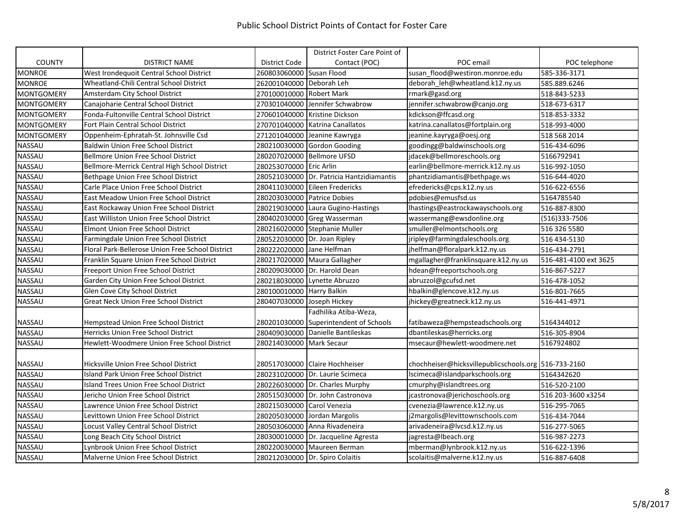|                   |                                                  |                           | District Foster Care Point of       |                                                      |                       |
|-------------------|--------------------------------------------------|---------------------------|-------------------------------------|------------------------------------------------------|-----------------------|
| <b>COUNTY</b>     | <b>DISTRICT NAME</b>                             | District Code             | Contact (POC)                       | POC email                                            | POC telephone         |
| MONROE            | West Irondequoit Central School District         | 260803060000              | Susan Flood                         | susan flood@westiron.monroe.edu                      | 585-336-3171          |
| MONROE            | Wheatland-Chili Central School District          | 262001040000              | Deborah Leh                         | deborah leh@wheatland.k12.ny.us                      | 585.889.6246          |
| <b>MONTGOMERY</b> | Amsterdam City School District                   | 270100010000              | <b>Robert Mark</b>                  | rmark@gasd.org                                       | 518-843-5233          |
| <b>MONTGOMERY</b> | Canajoharie Central School District              | 270301040000              | Jennifer Schwabrow                  | jennifer.schwabrow@canjo.org                         | 518-673-6317          |
| <b>MONTGOMERY</b> | Fonda-Fultonville Central School District        | 270601040000              | <b>Kristine Dickson</b>             | kdickson@ffcasd.org                                  | 518-853-3332          |
| <b>MONTGOMERY</b> | Fort Plain Central School District               | 270701040000              | Katrina Canallatos                  | katrina.canallatos@fortplain.org                     | 518-993-4000          |
| <b>MONTGOMERY</b> | Oppenheim-Ephratah-St. Johnsville Csd            | 271201040000              | Jeanine Kawryga                     | jeanine.kayryga@oesj.org                             | 518 568 2014          |
| NASSAU            | <b>Baldwin Union Free School District</b>        | 280210030000              | <b>Gordon Gooding</b>               | goodingg@baldwinschools.org                          | 516-434-6096          |
| NASSAU            | <b>Bellmore Union Free School District</b>       | 280207020000              | <b>Bellmore UFSD</b>                | jdacek@bellmoreschools.org                           | 5166792941            |
| NASSAU            | Bellmore-Merrick Central High School District    | 280253070000              | <b>Eric Arlin</b>                   | earlin@bellmore-merrick.k12.ny.us                    | 516-992-1050          |
| <b>NASSAU</b>     | Bethpage Union Free School District              | 280521030000              | Dr. Patricia Hantzidiamantis        | phantzidiamantis@bethpage.ws                         | 516-644-4020          |
| <b>NASSAU</b>     | Carle Place Union Free School District           | 280411030000              | Eileen Fredericks                   | efredericks@cps.k12.ny.us                            | 516-622-6556          |
| NASSAU            | East Meadow Union Free School District           | 280203030000              | <b>Patrice Dobies</b>               | pdobies@emusfsd.us                                   | 5164785540            |
| NASSAU            | East Rockaway Union Free School District         | 280219030000              | Laura Gugino-Hastings               | lhastings@eastrockawayschools.org                    | 516-887-8300          |
| NASSAU            | East Williston Union Free School District        | 280402030000              | Greg Wasserman                      | wassermang@ewsdonline.org                            | (516)333-7506         |
| <b>NASSAU</b>     | <b>Elmont Union Free School District</b>         | 280216020000              | Stephanie Muller                    | smuller@elmontschools.org                            | 516 326 5580          |
| <b>NASSAU</b>     | Farmingdale Union Free School District           | 280522030000              | Dr. Joan Ripley                     | jripley@farmingdaleschools.org                       | 516 434-5130          |
| <b>NASSAU</b>     | Floral Park-Bellerose Union Free School District | 280222020000              | Jane Helfman                        | jhelfman@floralpark.k12.ny.us                        | 516-434-2791          |
| <b>NASSAU</b>     | Franklin Square Union Free School District       | 280217020000              | Maura Gallagher                     | mgallagher@franklinsquare.k12.ny.us                  | 516-481-4100 ext 3625 |
| <b>NASSAU</b>     | Freeport Union Free School District              | 280209030000              | Dr. Harold Dean                     | hdean@freeportschools.org                            | 516-867-5227          |
| NASSAU            | Garden City Union Free School District           | 280218030000              | Lynette Abruzzo                     | abruzzol@gcufsd.net                                  | 516-478-1052          |
| NASSAU            | Glen Cove City School District                   | 280100010000 Harry Balkin |                                     | hbalkin@glencove.k12.ny.us                           | 516-801-7665          |
| <b>NASSAU</b>     | <b>Great Neck Union Free School District</b>     | 280407030000              | Joseph Hickey                       | jhickey@greatneck.k12.ny.us                          | 516-441-4971          |
|                   |                                                  |                           | Fadhilika Atiba-Weza,               |                                                      |                       |
| NASSAU            | Hempstead Union Free School District             | 280201030000              | Superintendent of Schools           | fatibaweza@hempsteadschools.org                      | 5164344012            |
| <b>NASSAU</b>     | Herricks Union Free School District              | 280409030000              | Danielle Bantileskas                | dbantileskas@herricks.org                            | 516-305-8904          |
| <b>NASSAU</b>     | Hewlett-Woodmere Union Free School District      | 280214030000              | <b>Mark Secaur</b>                  | msecaur@hewlett-woodmere.net                         | 5167924802            |
|                   |                                                  |                           |                                     |                                                      |                       |
| <b>NASSAU</b>     | Hicksville Union Free School District            |                           | 280517030000 Claire Hochheiser      | chochheiser@hicksvillepublicschools.org 516-733-2160 |                       |
| <b>NASSAU</b>     | Island Park Union Free School District           | 280231020000              | Dr. Laurie Scimeca                  | lscimeca@islandparkschools.org                       | 5164342620            |
| NASSAU            | Island Trees Union Free School District          |                           | 280226030000 Dr. Charles Murphy     | cmurphy@islandtrees.org                              | 516-520-2100          |
| <b>NASSAU</b>     | Jericho Union Free School District               | 280515030000              | Dr. John Castronova                 | jcastronova@jerichoschools.org                       | 516 203-3600 x3254    |
| <b>NASSAU</b>     | Lawrence Union Free School District              | 280215030000              | Carol Venezia                       | cvenezia@lawrence.k12.ny.us                          | 516-295-7065          |
| NASSAU            | Levittown Union Free School District             | 280205030000              | Jordan Margolis                     | j2margolis@levittownschools.com                      | 516-434-7044          |
| NASSAU            | Locust Valley Central School District            | 280503060000              | Anna Rivadeneira                    | arivadeneira@lvcsd.k12.ny.us                         | 516-277-5065          |
| NASSAU            | Long Beach City School District                  |                           | 280300010000 Dr. Jacqueline Agresta | jagresta@lbeach.org                                  | 516-987-2273          |
| NASSAU            | Lynbrook Union Free School District              | 280220030000              | Maureen Berman                      | mberman@lynbrook.k12.ny.us                           | 516-622-1396          |
| NASSAU            | Malverne Union Free School District              |                           | 280212030000 Dr. Spiro Colaitis     | scolaitis@malverne.k12.ny.us                         | 516-887-6408          |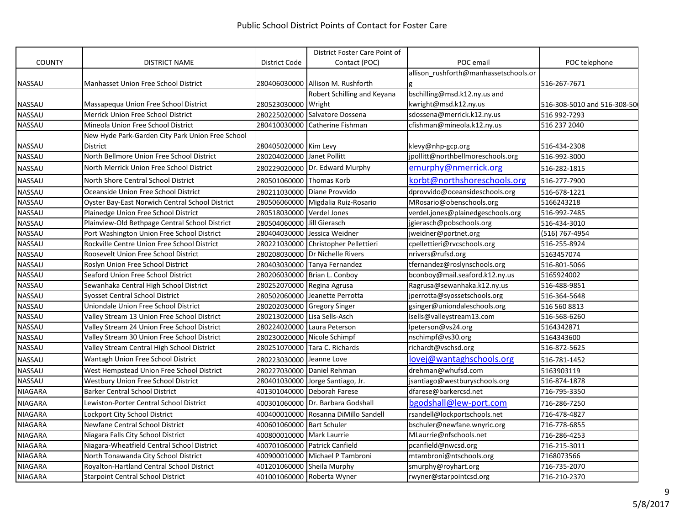|                |                                                  |                            | District Foster Care Point of     |                                       |                             |
|----------------|--------------------------------------------------|----------------------------|-----------------------------------|---------------------------------------|-----------------------------|
| <b>COUNTY</b>  | <b>DISTRICT NAME</b>                             | District Code              | Contact (POC)                     | POC email                             | POC telephone               |
|                |                                                  |                            |                                   | allison rushforth@manhassetschools.or |                             |
| <b>NASSAU</b>  | Manhasset Union Free School District             |                            | 280406030000 Allison M. Rushforth |                                       | 516-267-7671                |
|                |                                                  |                            | Robert Schilling and Keyana       | bschilling@msd.k12.ny.us and          |                             |
| <b>NASSAU</b>  | Massapequa Union Free School District            | 280523030000               | Wright                            | kwright@msd.k12.ny.us                 | 516-308-5010 and 516-308-50 |
| NASSAU         | Merrick Union Free School District               | 280225020000               | Salvatore Dossena                 | sdossena@merrick.k12.ny.us            | 516 992-7293                |
| NASSAU         | Mineola Union Free School District               | 280410030000               | Catherine Fishman                 | cfishman@mineola.k12.ny.us            | 516 237 2040                |
|                | New Hyde Park-Garden City Park Union Free School |                            |                                   |                                       |                             |
| NASSAU         | District                                         | 280405020000 Kim Levy      |                                   | klevy@nhp-gcp.org                     | 516-434-2308                |
| <b>NASSAU</b>  | North Bellmore Union Free School District        | 280204020000 Janet Pollitt |                                   | jpollitt@northbellmoreschools.org     | 516-992-3000                |
| NASSAU         | North Merrick Union Free School District         |                            | 280229020000 Dr. Edward Murphy    | emurphy@nmerrick.org                  | 516-282-1815                |
| NASSAU         | North Shore Central School District              | 280501060000               | Thomas Korb                       | korbt@northshoreschools.org           | 516-277-7900                |
| NASSAU         | Oceanside Union Free School District             | 280211030000               | Diane Provvido                    | dprovvido@oceansideschools.org        | 516-678-1221                |
| NASSAU         | Oyster Bay-East Norwich Central School District  | 280506060000               | Migdalia Ruiz-Rosario             | MRosario@obenschools.org              | 5166243218                  |
| <b>NASSAU</b>  | Plainedge Union Free School District             | 280518030000 Verdel Jones  |                                   | verdel.jones@plainedgeschools.org     | 516-992-7485                |
| <b>NASSAU</b>  | Plainview-Old Bethpage Central School District   | 280504060000               | Jill Gierasch                     | jgierasch@pobschools.org              | 516-434-3010                |
| NASSAU         | Port Washington Union Free School District       | 280404030000               | Jessica Weidner                   | jweidner@portnet.org                  | (516) 767-4954              |
| NASSAU         | Rockville Centre Union Free School District      | 280221030000               | Christopher Pellettieri           | cpellettieri@rvcschools.org           | 516-255-8924                |
| NASSAU         | Roosevelt Union Free School District             | 280208030000               | Dr Nichelle Rivers                | nrivers@rufsd.org                     | 5163457074                  |
| <b>NASSAU</b>  | Roslyn Union Free School District                | 280403030000               | Tanya Fernandez                   | tfernandez@roslynschools.org          | 516-801-5066                |
| NASSAU         | Seaford Union Free School District               | 280206030000               | Brian L. Conboy                   | bconboy@mail.seaford.k12.ny.us        | 5165924002                  |
| NASSAU         | Sewanhaka Central High School District           | 280252070000               | Regina Agrusa                     | Ragrusa@sewanhaka.k12.ny.us           | 516-488-9851                |
| NASSAU         | <b>Syosset Central School District</b>           | 280502060000               | Jeanette Perrotta                 | jperrotta@syossetschools.org          | 516-364-5648                |
| NASSAU         | Uniondale Union Free School District             | 280202030000               | <b>Gregory Singer</b>             | gsinger@uniondaleschools.org          | 516 560 8813                |
| <b>NASSAU</b>  | Valley Stream 13 Union Free School District      | 280213020000               | Lisa Sells-Asch                   | lsells@valleystream13.com             | 516-568-6260                |
| NASSAU         | Valley Stream 24 Union Free School District      | 280224020000               | Laura Peterson                    | lpeterson@vs24.org                    | 5164342871                  |
| NASSAU         | Valley Stream 30 Union Free School District      | 280230020000               | Nicole Schimpf                    | nschimpf@vs30.org                     | 5164343600                  |
| <b>NASSAU</b>  | Valley Stream Central High School District       | 280251070000               | Tara C. Richards                  | richardt@vschsd.org                   | 516-872-5625                |
| NASSAU         | Wantagh Union Free School District               | 280223030000               | Jeanne Love                       | lovej@wantaghschools.org              | 516-781-1452                |
| NASSAU         | West Hempstead Union Free School District        | 280227030000               | Daniel Rehman                     | drehman@whufsd.com                    | 5163903119                  |
| NASSAU         | Westbury Union Free School District              | 280401030000               | Jorge Santiago, Jr.               | jsantiago@westburyschools.org         | 516-874-1878                |
| <b>NIAGARA</b> | <b>Barker Central School District</b>            | 401301040000               | Deborah Farese                    | dfarese@barkercsd.net                 | 716-795-3350                |
| <b>NIAGARA</b> | Lewiston-Porter Central School District          | 400301060000               | Dr. Barbara Godshall              | bgodshall@lew-port.com                | 716-286-7250                |
| <b>NIAGARA</b> | Lockport City School District                    | 400400010000               | Rosanna DiMillo Sandell           | rsandell@lockportschools.net          | 716-478-4827                |
| <b>NIAGARA</b> | Newfane Central School District                  | 400601060000               | <b>Bart Schuler</b>               | bschuler@newfane.wnyric.org           | 716-778-6855                |
| <b>NIAGARA</b> | Niagara Falls City School District               | 400800010000 Mark Laurrie  |                                   | MLaurrie@nfschools.net                | 716-286-4253                |
| <b>NIAGARA</b> | Niagara-Wheatfield Central School District       |                            | 400701060000 Patrick Canfield     | pcanfield@nwcsd.org                   | 716-215-3011                |
| <b>NIAGARA</b> | North Tonawanda City School District             | 400900010000               | Michael P Tambroni                | mtambroni@ntschools.org               | 7168073566                  |
| <b>NIAGARA</b> | Royalton-Hartland Central School District        | 401201060000 Sheila Murphy |                                   | smurphy@royhart.org                   | 716-735-2070                |
| <b>NIAGARA</b> | <b>Starpoint Central School District</b>         |                            | 401001060000 Roberta Wyner        | rwyner@starpointcsd.org               | 716-210-2370                |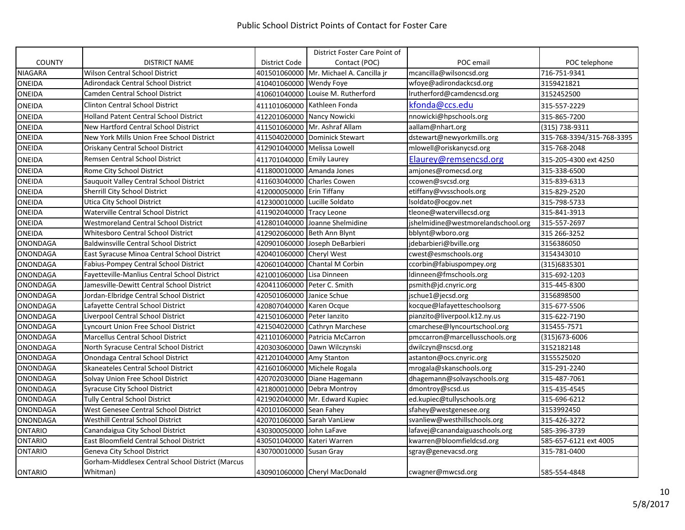|                 |                                                  |                              | District Foster Care Point of           |                                    |                           |
|-----------------|--------------------------------------------------|------------------------------|-----------------------------------------|------------------------------------|---------------------------|
| <b>COUNTY</b>   | <b>DISTRICT NAME</b>                             | District Code                | Contact (POC)                           | POC email                          | POC telephone             |
| <b>NIAGARA</b>  | Wilson Central School District                   |                              | 401501060000 Mr. Michael A. Cancilla jr | mcancilla@wilsoncsd.org            | 716-751-9341              |
| <b>ONEIDA</b>   | <b>Adirondack Central School District</b>        | 410401060000 Wendy Foye      |                                         | wfoye@adirondackcsd.org            | 3159421821                |
| <b>ONEIDA</b>   | <b>Camden Central School District</b>            |                              | 410601040000 Louise M. Rutherford       | Irutherford@camdencsd.org          | 3152452500                |
| <b>ONEIDA</b>   | <b>Clinton Central School District</b>           |                              | 411101060000 Kathleen Fonda             | kfonda@ccs.edu                     | 315-557-2229              |
| <b>ONEIDA</b>   | <b>Holland Patent Central School District</b>    |                              | 412201060000 Nancy Nowicki              | nnowicki@hpschools.org             | 315-865-7200              |
| ONEIDA          | New Hartford Central School District             |                              | 411501060000 Mr. Ashraf Allam           | aallam@nhart.org                   | (315) 738-9311            |
| <b>ONEIDA</b>   | New York Mills Union Free School District        |                              | 411504020000 Dominick Stewart           | dstewart@newyorkmills.org          | 315-768-3394/315-768-3395 |
| ONEIDA          | Oriskany Central School District                 | 412901040000 Melissa Lowell  |                                         | mlowell@oriskanycsd.org            | 315-768-2048              |
| <b>ONEIDA</b>   | Remsen Central School District                   | 411701040000 Emily Laurey    |                                         | Elaurey@remsencsd.org              | 315-205-4300 ext 4250     |
| ONEIDA          | Rome City School District                        | 411800010000 Amanda Jones    |                                         | amjones@romecsd.org                | 315-338-6500              |
| ONEIDA          | Sauquoit Valley Central School District          | 411603040000 Charles Cowen   |                                         | ccowen@svcsd.org                   | 315-839-6313              |
| <b>ONEIDA</b>   | Sherrill City School District                    | 412000050000 Erin Tiffany    |                                         | etiffany@vvsschools.org            | 315-829-2520              |
| <b>ONEIDA</b>   | Utica City School District                       | 412300010000 Lucille Soldato |                                         | lsoldato@ocgov.net                 | 315-798-5733              |
| <b>ONEIDA</b>   | Waterville Central School District               | 411902040000 Tracy Leone     |                                         | tleone@watervillecsd.org           | 315-841-3913              |
| ONEIDA          | <b>Westmoreland Central School District</b>      |                              | 412801040000 Joanne Shelmidine          | jshelmidine@westmorelandschool.org | 315-557-2697              |
| ONEIDA          | <b>Whitesboro Central School District</b>        | 412902060000 Beth Ann Blynt  |                                         | bblynt@wboro.org                   | 315 266-3252              |
| <b>ONONDAGA</b> | <b>Baldwinsville Central School District</b>     |                              | 420901060000 Joseph DeBarbieri          | jdebarbieri@bville.org             | 3156386050                |
| <b>ONONDAGA</b> | East Syracuse Minoa Central School District      | 420401060000 Cheryl West     |                                         | cwest@esmschools.org               | 3154343010                |
| ONONDAGA        | Fabius-Pompey Central School District            |                              | 420601040000 Chantal M Corbin           | ccorbin@fabiuspompey.org           | (315)6835301              |
| <b>ONONDAGA</b> | Fayetteville-Manlius Central School District     | 421001060000 Lisa Dinneen    |                                         | ldinneen@fmschools.org             | 315-692-1203              |
| ONONDAGA        | Jamesville-Dewitt Central School District        | 420411060000 Peter C. Smith  |                                         | psmith@jd.cnyric.org               | 315-445-8300              |
| <b>ONONDAGA</b> | Jordan-Elbridge Central School District          | 420501060000                 | Janice Schue                            | jschue1@jecsd.org                  | 3156898500                |
| ONONDAGA        | Lafayette Central School District                | 420807040000 Karen Ocque     |                                         | kocque@lafayetteschoolsorg         | 315-677-5506              |
| ONONDAGA        | Liverpool Central School District                | 421501060000 Peter lanzito   |                                         | pianzito@liverpool.k12.ny.us       | 315-622-7190              |
| <b>ONONDAGA</b> | Lyncourt Union Free School District              |                              | 421504020000 Cathryn Marchese           | cmarchese@lyncourtschool.org       | 315455-7571               |
| <b>ONONDAGA</b> | Marcellus Central School District                |                              | 421101060000 Patricia McCarron          | pmccarron@marcellusschools.org     | (315) 673-6006            |
| <b>ONONDAGA</b> | North Syracuse Central School District           | 420303060000                 | Dawn Wilczynski                         | dwilczyn@nscsd.org                 | 3152182148                |
| <b>ONONDAGA</b> | Onondaga Central School District                 | 421201040000 Amy Stanton     |                                         | astanton@ocs.cnyric.org            | 3155525020                |
| <b>ONONDAGA</b> | Skaneateles Central School District              |                              | 421601060000 Michele Rogala             | mrogala@skanschools.org            | 315-291-2240              |
| <b>ONONDAGA</b> | Solvay Union Free School District                |                              | 420702030000 Diane Hagemann             | dhagemann@solvayschools.org        | 315-487-7061              |
| <b>ONONDAGA</b> | <b>Syracuse City School District</b>             |                              | 421800010000 Debra Montroy              | dmontroy@scsd.us                   | 315-435-4545              |
| <b>ONONDAGA</b> | <b>Tully Central School District</b>             |                              | 421902040000 Mr. Edward Kupiec          | ed.kupiec@tullyschools.org         | 315-696-6212              |
| <b>ONONDAGA</b> | West Genesee Central School District             | 420101060000 Sean Fahey      |                                         | sfahey@westgenesee.org             | 3153992450                |
| ONONDAGA        | <b>Westhill Central School District</b>          | 420701060000 Sarah VanLiew   |                                         | svanliew@westhillschools.org       | 315-426-3272              |
| <b>ONTARIO</b>  | Canandaigua City School District                 | 430300050000 John LaFave     |                                         | lafavej@canandaiguaschools.org     | 585-396-3739              |
| <b>ONTARIO</b>  | East Bloomfield Central School District          | 430501040000                 | Kateri Warren                           | kwarren@bloomfieldcsd.org          | 585-657-6121 ext 4005     |
| <b>ONTARIO</b>  | Geneva City School District                      | 430700010000                 | Susan Gray                              | sgray@genevacsd.org                | 315-781-0400              |
|                 | Gorham-Middlesex Central School District (Marcus |                              |                                         |                                    |                           |
| <b>ONTARIO</b>  | Whitman)                                         |                              | 430901060000 Cheryl MacDonald           | cwagner@mwcsd.org                  | 585-554-4848              |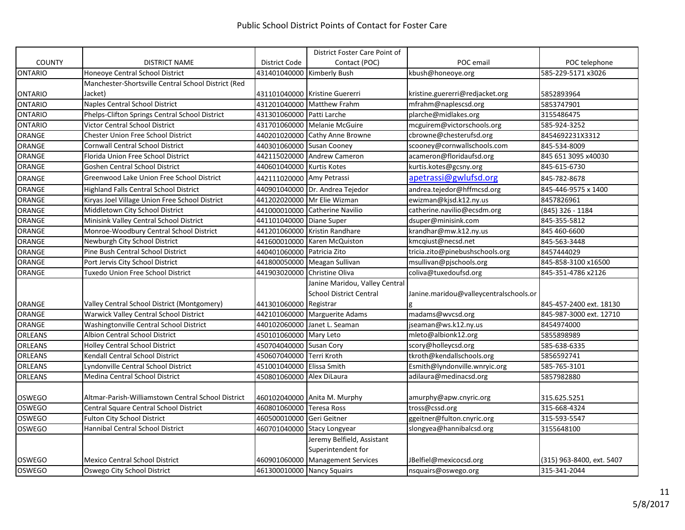|                |                                                     |                            | District Foster Care Point of    |                                        |                           |
|----------------|-----------------------------------------------------|----------------------------|----------------------------------|----------------------------------------|---------------------------|
| <b>COUNTY</b>  | <b>DISTRICT NAME</b>                                | <b>District Code</b>       | Contact (POC)                    | POC email                              | POC telephone             |
| ONTARIO        | Honeoye Central School District                     | 431401040000 Kimberly Bush |                                  | kbush@honeoye.org                      | 585-229-5171 x3026        |
|                | Manchester-Shortsville Central School District (Red |                            |                                  |                                        |                           |
| <b>ONTARIO</b> | Jacket)                                             |                            | 431101040000 Kristine Guererri   | kristine.guererri@redjacket.org        | 5852893964                |
| <b>ONTARIO</b> | Naples Central School District                      |                            | 431201040000 Matthew Frahm       | mfrahm@naplescsd.org                   | 5853747901                |
| ONTARIO        | Phelps-Clifton Springs Central School District      | 431301060000 Patti Larche  |                                  | plarche@midlakes.org                   | 3155486475                |
| ONTARIO        | Victor Central School District                      |                            | 431701060000 Melanie McGuire     | mcguirem@victorschools.org             | 585-924-3252              |
| ORANGE         | Chester Union Free School District                  |                            | 440201020000 Cathy Anne Browne   | cbrowne@chesterufsd.org                | 8454692231X3312           |
| <b>ORANGE</b>  | <b>Cornwall Central School District</b>             | 440301060000 Susan Cooney  |                                  | scooney@cornwallschools.com            | 845-534-8009              |
| ORANGE         | Florida Union Free School District                  |                            | 442115020000 Andrew Cameron      | acameron@floridaufsd.org               | 845 651 3095 x40030       |
| ORANGE         | Goshen Central School District                      | 440601040000 Kurtis Kotes  |                                  | kurtis.kotes@gcsny.org                 | 845-615-6730              |
| <b>ORANGE</b>  | Greenwood Lake Union Free School District           | 442111020000 Amy Petrassi  |                                  | apetrassi@gwlufsd.org                  | 845-782-8678              |
| ORANGE         | <b>Highland Falls Central School District</b>       |                            | 440901040000 Dr. Andrea Tejedor  | andrea.tejedor@hffmcsd.org             | 845-446-9575 x 1400       |
| ORANGE         | Kiryas Joel Village Union Free School District      |                            | 441202020000 Mr Elie Wizman      | ewizman@kjsd.k12.ny.us                 | 8457826961                |
| ORANGE         | Middletown City School District                     | 441000010000               | Catherine Navilio                | catherine.navilio@ecsdm.org            | (845) 326 - 1184          |
| <b>ORANGE</b>  | Minisink Valley Central School District             | 441101040000               | <b>Diane Super</b>               | dsuper@minisink.com                    | 845-355-5812              |
| <b>ORANGE</b>  | Monroe-Woodbury Central School District             |                            | 441201060000 Kristin Randhare    | krandhar@mw.k12.ny.us                  | 845 460-6600              |
| ORANGE         | Newburgh City School District                       |                            | 441600010000 Karen McQuiston     | kmcqiust@necsd.net                     | 845-563-3448              |
| ORANGE         | Pine Bush Central School District                   | 440401060000 Patricia Zito |                                  | tricia.zito@pinebushschools.org        | 8457444029                |
| ORANGE         | Port Jervis City School District                    | 441800050000               | Meagan Sullivan                  | msullivan@pjschools.org                | 845-858-3100 x16500       |
| <b>ORANGE</b>  | <b>Tuxedo Union Free School District</b>            | 441903020000               | <b>Christine Oliva</b>           | coliva@tuxedoufsd.org                  | 845-351-4786 x2126        |
|                |                                                     |                            | Janine Maridou, Valley Central   |                                        |                           |
|                |                                                     |                            | <b>School District Central</b>   | Janine.maridou@valleycentralschools.or |                           |
| <b>ORANGE</b>  | Valley Central School District (Montgomery)         | 441301060000 Registrar     |                                  |                                        | 845-457-2400 ext. 18130   |
| ORANGE         | Warwick Valley Central School District              |                            | 442101060000 Marguerite Adams    | madams@wvcsd.org                       | 845-987-3000 ext. 12710   |
| <b>ORANGE</b>  | Washingtonville Central School District             |                            | 440102060000 Janet L. Seaman     | jseaman@ws.k12.ny.us                   | 8454974000                |
| <b>ORLEANS</b> | Albion Central School District                      | 450101060000 Mary Leto     |                                  | mleto@albionk12.org                    | 5855898989                |
| <b>ORLEANS</b> | <b>Holley Central School District</b>               | 450704040000 Susan Cory    |                                  | scory@holleycsd.org                    | 585-638-6335              |
| ORLEANS        | Kendall Central School District                     | 450607040000 Terri Kroth   |                                  | tkroth@kendallschools.org              | 5856592741                |
| ORLEANS        | Lyndonville Central School District                 | 451001040000               | Elissa Smith                     | Esmith@lyndonville.wnryic.org          | 585-765-3101              |
| <b>ORLEANS</b> | Medina Central School District                      | 450801060000 Alex DiLaura  |                                  | adilaura@medinacsd.org                 | 5857982880                |
|                |                                                     |                            |                                  |                                        |                           |
| <b>OSWEGO</b>  | Altmar-Parish-Williamstown Central School District  |                            | 460102040000 Anita M. Murphy     | amurphy@apw.cnyric.org                 | 315.625.5251              |
| OSWEGO         | Central Square Central School District              | 460801060000 Teresa Ross   |                                  | tross@cssd.org                         | 315-668-4324              |
| OSWEGO         | <b>Fulton City School District</b>                  | 460500010000 Geri Geitner  |                                  | ggeitner@fulton.cnyric.org             | 315-593-5547              |
| <b>OSWEGO</b>  | <b>Hannibal Central School District</b>             | 460701040000               | <b>Stacy Longyear</b>            | slongyea@hannibalcsd.org               | 3155648100                |
|                |                                                     |                            | Jeremy Belfield, Assistant       |                                        |                           |
|                |                                                     |                            | Superintendent for               |                                        |                           |
| <b>OSWEGO</b>  | <b>Mexico Central School District</b>               |                            | 460901060000 Management Services | JBelfiel@mexicocsd.org                 | (315) 963-8400, ext. 5407 |
| <b>OSWEGO</b>  | Oswego City School District                         | 461300010000 Nancy Squairs |                                  | nsquairs@oswego.org                    | 315-341-2044              |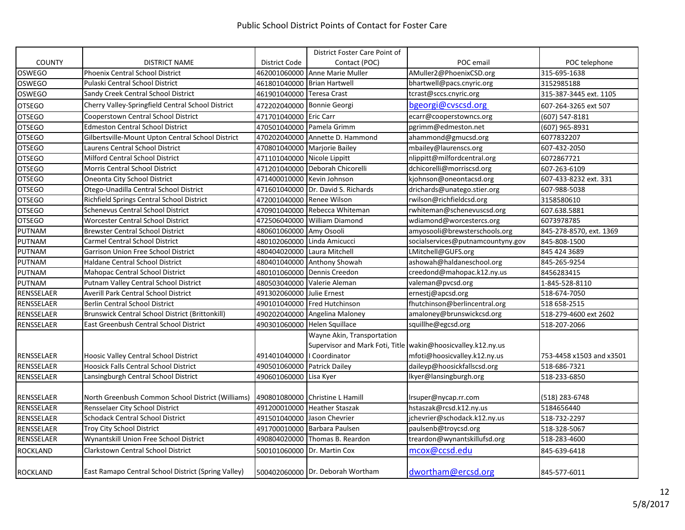|                   |                                                        |                              | District Foster Care Point of                                  |                                   |                          |
|-------------------|--------------------------------------------------------|------------------------------|----------------------------------------------------------------|-----------------------------------|--------------------------|
| <b>COUNTY</b>     | DISTRICT NAME                                          | District Code                | Contact (POC)                                                  | POC email                         | POC telephone            |
| <b>OSWEGO</b>     | Phoenix Central School District                        |                              | 462001060000 Anne Marie Muller                                 | AMuller2@PhoenixCSD.org           | 315-695-1638             |
| <b>OSWEGO</b>     | Pulaski Central School District                        | 461801040000 Brian Hartwell  |                                                                | bhartwell@pacs.cnyric.org         | 3152985188               |
| <b>OSWEGO</b>     | Sandy Creek Central School District                    | 461901040000 Teresa Crast    |                                                                | tcrast@sccs.cnyric.org            | 315-387-3445 ext. 1105   |
| <b>OTSEGO</b>     | Cherry Valley-Springfield Central School District      | 472202040000 Bonnie Georgi   |                                                                | bgeorgi@cvscsd.org                | 607-264-3265 ext 507     |
| <b>OTSEGO</b>     | Cooperstown Central School District                    | 471701040000                 | <b>Eric Carr</b>                                               | ecarr@cooperstowncs.org           | (607) 547-8181           |
| <b>OTSEGO</b>     | <b>Edmeston Central School District</b>                | 470501040000 Pamela Grimm    |                                                                | pgrimm@edmeston.net               | $(607)$ 965-8931         |
| <b>OTSEGO</b>     | Gilbertsville-Mount Upton Central School District      |                              | 470202040000 Annette D. Hammond                                | ahammond@gmucsd.org               | 6077832207               |
| <b>OTSEGO</b>     | Laurens Central School District                        | 470801040000 Marjorie Bailey |                                                                | mbailey@laurenscs.org             | 607-432-2050             |
| <b>OTSEGO</b>     | Milford Central School District                        | 471101040000 Nicole Lippitt  |                                                                | nlippitt@milfordcentral.org       | 6072867721               |
| <b>OTSEGO</b>     | <b>Morris Central School District</b>                  |                              | 471201040000 Deborah Chicorelli                                | dchicorelli@morriscsd.org         | 607-263-6109             |
| <b>OTSEGO</b>     | Oneonta City School District                           | 471400010000 Kevin Johnson   |                                                                | kjohnson@oneontacsd.org           | 607-433-8232 ext. 331    |
| <b>OTSEGO</b>     | Otego-Unadilla Central School District                 |                              | 471601040000 Dr. David S. Richards                             | drichards@unatego.stier.org       | 607-988-5038             |
| <b>OTSEGO</b>     | Richfield Springs Central School District              | 472001040000 Renee Wilson    |                                                                | rwilson@richfieldcsd.org          | 3158580610               |
| <b>OTSEGO</b>     | Schenevus Central School District                      |                              | 470901040000 Rebecca Whiteman                                  | rwhiteman@schenevuscsd.org        | 607.638.5881             |
| <b>OTSEGO</b>     | <b>Worcester Central School District</b>               | 472506040000                 | <b>William Diamond</b>                                         | wdiamond@worcestercs.org          | 6073978785               |
| PUTNAM            | <b>Brewster Central School District</b>                | 480601060000 Amy Osooli      |                                                                | amyosooli@brewsterschools.org     | 845-278-8570, ext. 1369  |
| <b>PUTNAM</b>     | <b>Carmel Central School District</b>                  | 480102060000 Linda Amicucci  |                                                                | socialservices@putnamcountyny.gov | 845-808-1500             |
| PUTNAM            | Garrison Union Free School District                    | 480404020000 Laura Mitchell  |                                                                | LMitchell@GUFS.org                | 845 424 3689             |
| PUTNAM            | Haldane Central School District                        |                              | 480401040000 Anthony Showah                                    | ashowah@haldaneschool.org         | 845-265-9254             |
| <b>PUTNAM</b>     | <b>Mahopac Central School District</b>                 |                              | 480101060000 Dennis Creedon                                    | creedond@mahopac.k12.ny.us        | 8456283415               |
| <b>PUTNAM</b>     | Putnam Valley Central School District                  |                              | 480503040000 Valerie Aleman                                    | valeman@pvcsd.org                 | 1-845-528-8110           |
| RENSSELAER        | Averill Park Central School District                   | 491302060000 Julie Ernest    |                                                                | ernestj@apcsd.org                 | 518-674-7050             |
| RENSSELAER        | <b>Berlin Central School District</b>                  |                              | 490101040000 Fred Hutchinson                                   | fhutchinson@berlincentral.org     | 518 658-2515             |
| RENSSELAER        | <b>Brunswick Central School District (Brittonkill)</b> |                              | 490202040000 Angelina Maloney                                  | amaloney@brunswickcsd.org         | 518-279-4600 ext 2602    |
| RENSSELAER        | East Greenbush Central School District                 |                              | 490301060000 Helen Squillace                                   | squillhe@egcsd.org                | 518-207-2066             |
|                   |                                                        |                              | Wayne Akin, Transportation                                     |                                   |                          |
|                   |                                                        |                              | Supervisor and Mark Foti, Title   wakin@hoosicvalley.k12.ny.us |                                   |                          |
| <b>RENSSELAER</b> | Hoosic Valley Central School District                  | 491401040000   Coordinator   |                                                                | mfoti@hoosicvalley.k12.ny.us      | 753-4458 x1503 and x3501 |
| RENSSELAER        | <b>Hoosick Falls Central School District</b>           | 490501060000 Patrick Dailey  |                                                                | daileyp@hoosickfallscsd.org       | 518-686-7321             |
| RENSSELAER        | Lansingburgh Central School District                   | 490601060000 Lisa Kyer       |                                                                | lkyer@lansingburgh.org            | 518-233-6850             |
|                   |                                                        |                              |                                                                |                                   |                          |
| RENSSELAER        | North Greenbush Common School District (Williams)      |                              | 490801080000 Christine L Hamill                                | Irsuper@nycap.rr.com              | (518) 283-6748           |
| RENSSELAER        | Rensselaer City School District                        |                              | 491200010000 Heather Staszak                                   | hstaszak@rcsd.k12.ny.us           | 5184656440               |
| RENSSELAER        | <b>Schodack Central School District</b>                | 491501040000 Jason Chevrier  |                                                                | jchevrier@schodack.k12.ny.us      | 518-732-2297             |
| RENSSELAER        | <b>Troy City School District</b>                       |                              | 491700010000 Barbara Paulsen                                   | paulsenb@troycsd.org              | 518-328-5067             |
| RENSSELAER        | Wynantskill Union Free School District                 |                              | 490804020000 Thomas B. Reardon                                 | treardon@wynantskillufsd.org      | 518-283-4600             |
| <b>ROCKLAND</b>   | <b>Clarkstown Central School District</b>              | 500101060000                 | Dr. Martin Cox                                                 | mcox@ccsd.edu                     | 845-639-6418             |
| <b>ROCKLAND</b>   | East Ramapo Central School District (Spring Valley)    |                              | 500402060000 Dr. Deborah Wortham                               | dwortham@ercsd.org                | 845-577-6011             |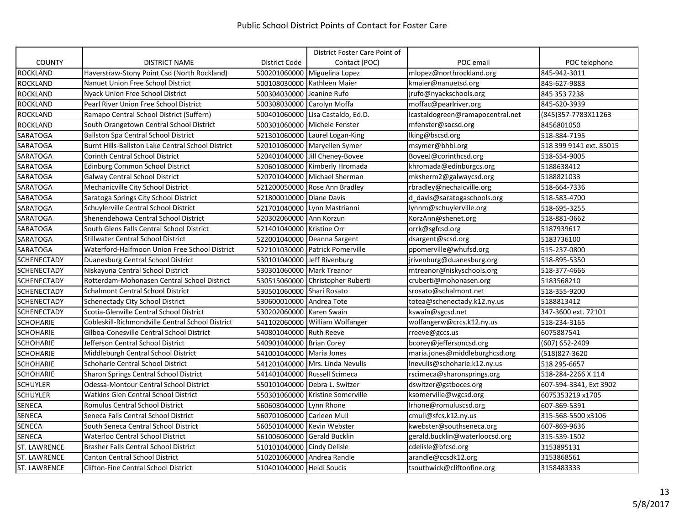|                     |                                                   |                             | District Foster Care Point of     |                                  |                         |
|---------------------|---------------------------------------------------|-----------------------------|-----------------------------------|----------------------------------|-------------------------|
| <b>COUNTY</b>       | <b>DISTRICT NAME</b>                              | District Code               | Contact (POC)                     | POC email                        | POC telephone           |
| <b>ROCKLAND</b>     | Haverstraw-Stony Point Csd (North Rockland)       |                             | 500201060000 Miguelina Lopez      | mlopez@northrockland.org         | 845-942-3011            |
| <b>ROCKLAND</b>     | Nanuet Union Free School District                 |                             | 500108030000 Kathleen Maier       | kmaier@nanuetsd.org              | 845-627-9883            |
| <b>ROCKLAND</b>     | Nyack Union Free School District                  | 500304030000 Jeanine Rufo   |                                   | jrufo@nyackschools.org           | 845 353 7238            |
| <b>ROCKLAND</b>     | Pearl River Union Free School District            | 500308030000 Carolyn Moffa  |                                   | moffac@pearlriver.org            | 845-620-3939            |
| <b>ROCKLAND</b>     | Ramapo Central School District (Suffern)          |                             | 500401060000 Lisa Castaldo, Ed.D. | lcastaldogreen@ramapocentral.net | (845)357-7783X11263     |
| <b>ROCKLAND</b>     | South Orangetown Central School District          |                             | 500301060000 Michele Fenster      | mfenster@socsd.org               | 8456801050              |
| <b>SARATOGA</b>     | <b>Ballston Spa Central School District</b>       |                             | 521301060000 Laurel Logan-King    | lking@bscsd.org                  | 518-884-7195            |
| <b>SARATOGA</b>     | Burnt Hills-Ballston Lake Central School District |                             | 520101060000 Maryellen Symer      | msymer@bhbl.org                  | 518 399 9141 ext. 85015 |
| <b>SARATOGA</b>     | <b>Corinth Central School District</b>            |                             | 520401040000 Jill Cheney-Bovee    | BoveeJ@corinthcsd.org            | 518-654-9005            |
| SARATOGA            | <b>Edinburg Common School District</b>            |                             | 520601080000 Kimberly Hromada     | khromada@edinburgcs.org          | 5188638412              |
| <b>SARATOGA</b>     | Galway Central School District                    |                             | 520701040000 Michael Sherman      | mksherm2@galwaycsd.org           | 5188821033              |
| <b>SARATOGA</b>     | Mechanicville City School District                |                             | 521200050000 Rose Ann Bradley     | rbradley@nechaicville.org        | 518-664-7336            |
| <b>SARATOGA</b>     | Saratoga Springs City School District             | 521800010000 Diane Davis    |                                   | d davis@saratogaschools.org      | 518-583-4700            |
| <b>SARATOGA</b>     | Schuylerville Central School District             | 521701040000                | Lynn Mastrianni                   | lynnm@schuylerville.org          | 518-695-3255            |
| <b>SARATOGA</b>     | Shenendehowa Central School District              | 520302060000 Ann Korzun     |                                   | KorzAnn@shenet.org               | 518-881-0662            |
| <b>SARATOGA</b>     | South Glens Falls Central School District         | 521401040000 Kristine Orr   |                                   | orrk@sgfcsd.org                  | 5187939617              |
| <b>SARATOGA</b>     | <b>Stillwater Central School District</b>         |                             | 522001040000 Deanna Sargent       | dsargent@scsd.org                | 5183736100              |
| <b>SARATOGA</b>     | Waterford-Halfmoon Union Free School District     |                             | 522101030000 Patrick Pomerville   | ppomerville@whufsd.org           | 515-237-0800            |
| <b>SCHENECTADY</b>  | Duanesburg Central School District                | 530101040000 Jeff Rivenburg |                                   | jrivenburg@duanesburg.org        | 518-895-5350            |
| <b>SCHENECTADY</b>  | Niskayuna Central School District                 | 530301060000 Mark Treanor   |                                   | mtreanor@niskyschools.org        | 518-377-4666            |
| <b>SCHENECTADY</b>  | Rotterdam-Mohonasen Central School District       |                             | 530515060000 Christopher Ruberti  | cruberti@mohonasen.org           | 5183568210              |
| <b>SCHENECTADY</b>  | Schalmont Central School District                 | 530501060000 Shari Rosato   |                                   | srosato@schalmont.net            | 518-355-9200            |
| <b>SCHENECTADY</b>  | Schenectady City School District                  | 530600010000 Andrea Tote    |                                   | totea@schenectady.k12.ny.us      | 5188813412              |
| <b>SCHENECTADY</b>  | Scotia-Glenville Central School District          | 530202060000 Karen Swain    |                                   | kswain@sgcsd.net                 | 347-3600 ext. 72101     |
| <b>SCHOHARIE</b>    | Cobleskill-Richmondville Central School District  |                             | 541102060000 William Wolfanger    | wolfangerw@crcs.k12.ny.us        | 518-234-3165            |
| <b>SCHOHARIE</b>    | Gilboa-Conesville Central School District         | 540801040000 Ruth Reeve     |                                   | rreeve@gccs.us                   | 6075887541              |
| <b>SCHOHARIE</b>    | Jefferson Central School District                 | 540901040000 Brian Corey    |                                   | bcorey@jeffersoncsd.org          | (607) 652-2409          |
| <b>SCHOHARIE</b>    | Middleburgh Central School District               | 541001040000 Maria Jones    |                                   | maria.jones@middleburghcsd.org   | (518)827-3620           |
| <b>SCHOHARIE</b>    | Schoharie Central School District                 |                             | 541201040000 Mrs. Linda Nevulis   | Inevulis@schoharie.k12.ny.us     | 518 295-6657            |
| <b>SCHOHARIE</b>    | <b>Sharon Springs Central School District</b>     |                             | 541401040000 Russell Scimeca      | rscimeca@sharonsprings.org       | 518-284-2266 X 114      |
| <b>SCHUYLER</b>     | Odessa-Montour Central School District            |                             | 550101040000 Debra L. Switzer     | dswitzer@gstboces.org            | 607-594-3341, Ext 3902  |
| <b>SCHUYLER</b>     | Watkins Glen Central School District              |                             | 550301060000 Kristine Somerville  | ksomerville@wgcsd.org            | 6075353219 x1705        |
| <b>SENECA</b>       | <b>Romulus Central School District</b>            | 560603040000 Lynn Rhone     |                                   | Irhone@romuluscsd.org            | 607-869-5391            |
| <b>SENECA</b>       | Seneca Falls Central School District              | 560701060000 Carleen Mull   |                                   | cmull@sfcs.k12.ny.us             | 315-568-5500 x3106      |
| <b>SENECA</b>       | South Seneca Central School District              | 560501040000 Kevin Webster  |                                   | kwebster@southseneca.org         | 607-869-9636            |
| <b>SENECA</b>       | <b>Waterloo Central School District</b>           | 561006060000 Gerald Bucklin |                                   | gerald.bucklin@waterloocsd.org   | 315-539-1502            |
| <b>ST. LAWRENCE</b> | Brasher Falls Central School District             | 510101040000 Cindy Delisle  |                                   | cdelisle@bfcsd.org               | 3153895131              |
| <b>ST. LAWRENCE</b> | <b>Canton Central School District</b>             |                             | 510201060000 Andrea Randle        | arandle@ccsdk12.org              | 3153868561              |
| ST. LAWRENCE        | <b>Clifton-Fine Central School District</b>       | 510401040000 Heidi Soucis   |                                   | tsouthwick@cliftonfine.org       | 3158483333              |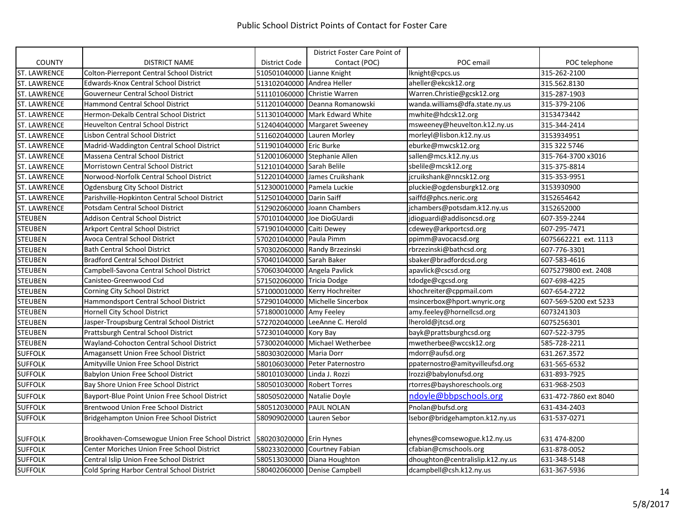|                     |                                                                           |                             | District Foster Care Point of   |                                  |                       |
|---------------------|---------------------------------------------------------------------------|-----------------------------|---------------------------------|----------------------------------|-----------------------|
| <b>COUNTY</b>       | <b>DISTRICT NAME</b>                                                      | District Code               | Contact (POC)                   | POC email                        | POC telephone         |
| <b>ST. LAWRENCE</b> | Colton-Pierrepont Central School District                                 | 510501040000 Lianne Knight  |                                 | lknight@cpcs.us                  | 315-262-2100          |
| <b>ST. LAWRENCE</b> | Edwards-Knox Central School District                                      | 513102040000 Andrea Heller  |                                 | aheller@ekcsk12.org              | 315.562.8130          |
| <b>ST. LAWRENCE</b> | <b>Gouverneur Central School District</b>                                 |                             | 511101060000 Christie Warren    | Warren.Christie@gcsk12.org       | 315-287-1903          |
| ST. LAWRENCE        | Hammond Central School District                                           |                             | 511201040000 Deanna Romanowski  | wanda.williams@dfa.state.ny.us   | 315-379-2106          |
| <b>ST. LAWRENCE</b> | Hermon-Dekalb Central School District                                     |                             | 511301040000 Mark Edward White  | mwhite@hdcsk12.org               | 3153473442            |
| <b>ST. LAWRENCE</b> | <b>Heuvelton Central School District</b>                                  |                             | 512404040000 Margaret Sweeney   | msweeney@heuvelton.k12.ny.us     | 315-344-2414          |
| <b>ST. LAWRENCE</b> | Lisbon Central School District                                            | 511602040000 Lauren Morley  |                                 | morleyl@lisbon.k12.ny.us         | 3153934951            |
| <b>ST. LAWRENCE</b> | Madrid-Waddington Central School District                                 | 511901040000 Eric Burke     |                                 | eburke@mwcsk12.org               | 315 322 5746          |
| <b>ST. LAWRENCE</b> | Massena Central School District                                           |                             | 512001060000 Stephanie Allen    | sallen@mcs.k12.ny.us             | 315-764-3700 x3016    |
| <b>ST. LAWRENCE</b> | <b>Morristown Central School District</b>                                 | 512101040000 Sarah Belile   |                                 | sbelile@mcsk12.org               | 315-375-8814          |
| <b>ST. LAWRENCE</b> | Norwood-Norfolk Central School District                                   |                             | 512201040000 James Cruikshank   | jcruikshank@nncsk12.org          | 315-353-9951          |
| <b>ST. LAWRENCE</b> | Ogdensburg City School District                                           | 512300010000 Pamela Luckie  |                                 | pluckie@ogdensburgk12.org        | 3153930900            |
| <b>ST. LAWRENCE</b> | Parishville-Hopkinton Central School District                             | 512501040000 Darin Saiff    |                                 | saiffd@phcs.neric.org            | 3152654642            |
| <b>ST. LAWRENCE</b> | Potsdam Central School District                                           |                             | 512902060000 Joann Chambers     | ichambers@potsdam.k12.ny.us      | 3152652000            |
| <b>STEUBEN</b>      | <b>Addison Central School District</b>                                    | 570101040000 Joe DioGUardi  |                                 | jdioguardi@addisoncsd.org        | 607-359-2244          |
| <b>STEUBEN</b>      | Arkport Central School District                                           | 571901040000 Caiti Dewey    |                                 | cdewey@arkportcsd.org            | 607-295-7471          |
| <b>STEUBEN</b>      | Avoca Central School District                                             | 570201040000 Paula Pimm     |                                 | ppimm@avocacsd.org               | 6075662221 ext. 1113  |
| <b>STEUBEN</b>      | <b>Bath Central School District</b>                                       |                             | 570302060000 Randy Brzezinski   | rbrzezinski@bathcsd.org          | 607-776-3301          |
| <b>STEUBEN</b>      | <b>Bradford Central School District</b>                                   | 570401040000 Sarah Baker    |                                 | sbaker@bradfordcsd.org           | 607-583-4616          |
| <b>STEUBEN</b>      | Campbell-Savona Central School District                                   | 570603040000 Angela Pavlick |                                 | apavlick@cscsd.org               | 6075279800 ext. 2408  |
| <b>STEUBEN</b>      | Canisteo-Greenwood Csd                                                    | 571502060000 Tricia Dodge   |                                 | tdodge@cgcsd.org                 | 607-698-4225          |
| <b>STEUBEN</b>      | Corning City School District                                              |                             | 571000010000 Kerry Hochreiter   | khochreiter@cppmail.com          | 607-654-2722          |
| <b>STEUBEN</b>      | Hammondsport Central School District                                      |                             | 572901040000 Michelle Sincerbox | msincerbox@hport.wnyric.org      | 607-569-5200 ext 5233 |
| <b>STEUBEN</b>      | <b>Hornell City School District</b>                                       | 571800010000 Amy Feeley     |                                 | amy.feeley@hornellcsd.org        | 6073241303            |
| <b>STEUBEN</b>      | Jasper-Troupsburg Central School District                                 |                             | 572702040000 LeeAnne C. Herold  | lherold@jtcsd.org                | 6075256301            |
| <b>STEUBEN</b>      | Prattsburgh Central School District                                       | 572301040000 Kory Bay       |                                 | bayk@prattsburghcsd.org          | 607-522-3795          |
| <b>STEUBEN</b>      | Wayland-Cohocton Central School District                                  |                             | 573002040000 Michael Wetherbee  | mwetherbee@wccsk12.org           | 585-728-2211          |
| <b>SUFFOLK</b>      | Amagansett Union Free School District                                     | 580303020000 Maria Dorr     |                                 | mdorr@aufsd.org                  | 631.267.3572          |
| <b>SUFFOLK</b>      | Amityville Union Free School District                                     |                             | 580106030000 Peter Paternostro  | ppaternostro@amityvilleufsd.org  | 631-565-6532          |
| <b>SUFFOLK</b>      | Babylon Union Free School District                                        | 580101030000 Linda J. Rozzi |                                 | Irozzi@babylonufsd.org           | 631-893-7925          |
| <b>SUFFOLK</b>      | Bay Shore Union Free School District                                      | 580501030000 Robert Torres  |                                 | rtorres@bayshoreschools.org      | 631-968-2503          |
| <b>SUFFOLK</b>      | Bayport-Blue Point Union Free School District                             | 580505020000 Natalie Doyle  |                                 | ndoyle@bbpschools.org            | 631-472-7860 ext 8040 |
| <b>SUFFOLK</b>      | <b>Brentwood Union Free School District</b>                               | 580512030000 PAUL NOLAN     |                                 | Pnolan@bufsd.org                 | 631-434-2403          |
| <b>SUFFOLK</b>      | Bridgehampton Union Free School District                                  | 580909020000 Lauren Sebor   |                                 | lsebor@bridgehampton.k12.ny.us   | 631-537-0271          |
| <b>SUFFOLK</b>      | Brookhaven-Comsewogue Union Free School District 1580203020000 Erin Hynes |                             |                                 | ehynes@comsewogue.k12.ny.us      | 631 474-8200          |
| <b>SUFFOLK</b>      | Center Moriches Union Free School District                                |                             | 580233020000 Courtney Fabian    | cfabian@cmschools.org            | 631-878-0052          |
| <b>SUFFOLK</b>      | Central Islip Union Free School District                                  |                             | 580513030000 Diana Houghton     | dhoughton@centralislip.k12.ny.us | 631-348-5148          |
| <b>SUFFOLK</b>      | Cold Spring Harbor Central School District                                |                             | 580402060000 Denise Campbell    | dcampbell@csh.k12.ny.us          | 631-367-5936          |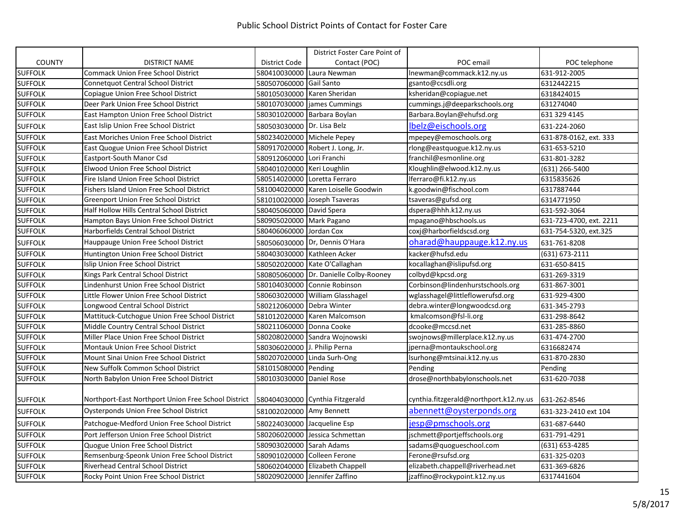|                |                                                     |                              | District Foster Care Point of          |                                        |                         |
|----------------|-----------------------------------------------------|------------------------------|----------------------------------------|----------------------------------------|-------------------------|
| <b>COUNTY</b>  | <b>DISTRICT NAME</b>                                | <b>District Code</b>         | Contact (POC)                          | POC email                              | POC telephone           |
| <b>SUFFOLK</b> | <b>Commack Union Free School District</b>           |                              | 580410030000 Laura Newman              | Inewman@commack.k12.ny.us              | 631-912-2005            |
| <b>SUFFOLK</b> | <b>Connetquot Central School District</b>           | 580507060000 Gail Santo      |                                        | gsanto@ccsdli.org                      | 6312442215              |
| <b>SUFFOLK</b> | Copiague Union Free School District                 |                              | 580105030000 Karen Sheridan            | ksheridan@copiague.net                 | 6318424015              |
| <b>SUFFOLK</b> | Deer Park Union Free School District                |                              | 580107030000 james Cummings            | cummings.j@deeparkschools.org          | 631274040               |
| <b>SUFFOLK</b> | East Hampton Union Free School District             |                              | 580301020000 Barbara Boylan            | Barbara.Boylan@ehufsd.org              | 631 329 4145            |
| <b>SUFFOLK</b> | East Islip Union Free School District               | 580503030000 Dr. Lisa Belz   |                                        | lbelz@eischools.org                    | 631-224-2060            |
| <b>SUFFOLK</b> | East Moriches Union Free School District            |                              | 580234020000 Michele Pepey             | mpepey@emoschools.org                  | 631-878-0162, ext. 333  |
| <b>SUFFOLK</b> | East Quogue Union Free School District              |                              | 580917020000 Robert J. Long, Jr.       | rlong@eastquogue.k12.ny.us             | 631-653-5210            |
| <b>SUFFOLK</b> | Eastport-South Manor Csd                            | 580912060000 Lori Franchi    |                                        | franchil@esmonline.org                 | 631-801-3282            |
| <b>SUFFOLK</b> | Elwood Union Free School District                   | 580401020000 Keri Loughlin   |                                        | Kloughlin@elwood.k12.ny.us             | (631) 266-5400          |
| <b>SUFFOLK</b> | Fire Island Union Free School District              |                              | 580514020000 Loretta Ferraro           | lferraro@fi.k12.ny.us                  | 6315835626              |
| <b>SUFFOLK</b> | Fishers Island Union Free School District           |                              | 581004020000 Karen Loiselle Goodwin    | k.goodwin@fischool.com                 | 6317887444              |
| <b>SUFFOLK</b> | Greenport Union Free School District                |                              | 581010020000 Joseph Tsaveras           | tsaveras@gufsd.org                     | 6314771950              |
| <b>SUFFOLK</b> | Half Hollow Hills Central School District           | 580405060000 David Spera     |                                        | dspera@hhh.k12.ny.us                   | 631-592-3064            |
| <b>SUFFOLK</b> | Hampton Bays Union Free School District             | 580905020000 Mark Pagano     |                                        | mpagano@hbschools.us                   | 631-723-4700, ext. 2211 |
| <b>SUFFOLK</b> | Harborfields Central School District                | 580406060000 Jordan Cox      |                                        | coxj@harborfieldscsd.org               | 631-754-5320, ext.325   |
| <b>SUFFOLK</b> | Hauppauge Union Free School District                |                              | 580506030000 Dr, Dennis O'Hara         | oharad@hauppauge.k12.ny.us             | 631-761-8208            |
| <b>SUFFOLK</b> | Huntington Union Free School District               |                              | 580403030000 Kathleen Acker            | kacker@hufsd.edu                       | (631) 673-2111          |
| <b>SUFFOLK</b> | Islip Union Free School District                    |                              | 580502020000 Kate O'Callaghan          | kocallaghan@islipufsd.org              | 631-650-8415            |
| <b>SUFFOLK</b> | Kings Park Central School District                  |                              | 580805060000 Dr. Danielle Colby-Rooney | colbyd@kpcsd.org                       | 631-269-3319            |
| <b>SUFFOLK</b> | Lindenhurst Union Free School District              |                              | 580104030000 Connie Robinson           | Corbinson@lindenhurstschools.org       | 631-867-3001            |
| <b>SUFFOLK</b> | Little Flower Union Free School District            |                              | 580603020000 William Glasshagel        | wglasshagel@littleflowerufsd.org       | 631-929-4300            |
| <b>SUFFOLK</b> | Longwood Central School District                    | 580212060000 Debra Winter    |                                        | debra.winter@longwoodcsd.org           | 631-345-2793            |
| <b>SUFFOLK</b> | Mattituck-Cutchogue Union Free School District      |                              | 581012020000 Karen Malcomson           | kmalcomson@fsl-li.org                  | 631-298-8642            |
| <b>SUFFOLK</b> | Middle Country Central School District              | 580211060000 Donna Cooke     |                                        | dcooke@mccsd.net                       | 631-285-8860            |
| <b>SUFFOLK</b> | Miller Place Union Free School District             |                              | 580208020000 Sandra Wojnowski          | swojnows@millerplace.k12.ny.us         | 631-474-2700            |
| <b>SUFFOLK</b> | Montauk Union Free School District                  | 580306020000 J. Philip Perna |                                        | jperna@montaukschool.org               | 6316682474              |
| <b>SUFFOLK</b> | Mount Sinai Union Free School District              |                              | 580207020000 Linda Surh-Ong            | lsurhong@mtsinai.k12.ny.us             | 631-870-2830            |
| <b>SUFFOLK</b> | New Suffolk Common School District                  | 581015080000 Pending         |                                        | Pending                                | Pending                 |
| <b>SUFFOLK</b> | North Babylon Union Free School District            | 580103030000 Daniel Rose     |                                        | drose@northbabylonschools.net          | 631-620-7038            |
| <b>SUFFOLK</b> | Northport-East Northport Union Free School District |                              | 580404030000 Cynthia Fitzgerald        | cynthia.fitzgerald@northport.k12.ny.us | 631-262-8546            |
| <b>SUFFOLK</b> | <b>Oysterponds Union Free School District</b>       | 581002020000 Amy Bennett     |                                        | abennett@oysterponds.org               | 631-323-2410 ext 104    |
| <b>SUFFOLK</b> | Patchogue-Medford Union Free School District        | 580224030000 Jacqueline Esp  |                                        | jesp@pmschools.org                     | 631-687-6440            |
| <b>SUFFOLK</b> | Port Jefferson Union Free School District           |                              | 580206020000 Jessica Schmettan         | jschmett@portjeffschools.org           | 631-791-4291            |
| <b>SUFFOLK</b> | Quogue Union Free School District                   | 580903020000 Sarah Adams     |                                        | sadams@quogueschool.com                | (631) 653-4285          |
| <b>SUFFOLK</b> | Remsenburg-Speonk Union Free School District        |                              | 580901020000 Colleen Ferone            | Ferone@rsufsd.org                      | 631-325-0203            |
| <b>SUFFOLK</b> | Riverhead Central School District                   |                              | 580602040000 Elizabeth Chappell        | elizabeth.chappell@riverhead.net       | 631-369-6826            |
| <b>SUFFOLK</b> | Rocky Point Union Free School District              |                              | 580209020000 Jennifer Zaffino          | jzaffino@rockypoint.k12.ny.us          | 6317441604              |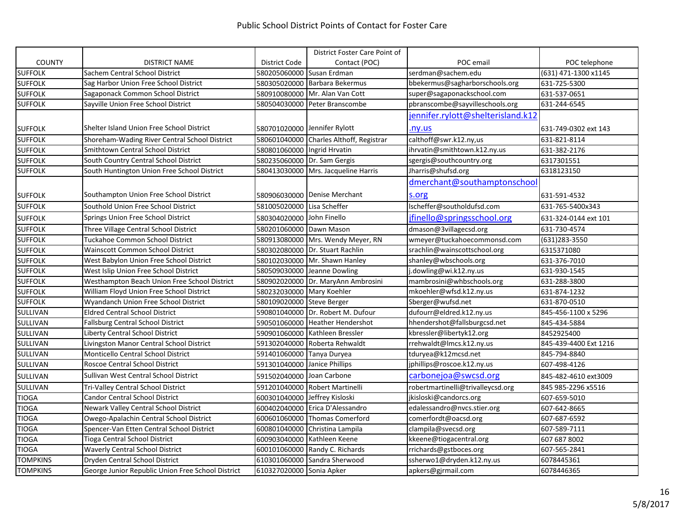|                 |                                                   |                               | District Foster Care Point of           |                                   |                       |
|-----------------|---------------------------------------------------|-------------------------------|-----------------------------------------|-----------------------------------|-----------------------|
| <b>COUNTY</b>   | <b>DISTRICT NAME</b>                              | District Code                 | Contact (POC)                           | POC email                         | POC telephone         |
| <b>SUFFOLK</b>  | Sachem Central School District                    | 580205060000 Susan Erdman     |                                         | serdman@sachem.edu                | (631) 471-1300 x1145  |
| <b>SUFFOLK</b>  | Sag Harbor Union Free School District             |                               | 580305020000 Barbara Bekermus           | bbekermus@sagharborschools.org    | 631-725-5300          |
| <b>SUFFOLK</b>  | Sagaponack Common School District                 |                               | 580910080000 Mr. Alan Van Cott          | super@sagaponackschool.com        | 631-537-0651          |
| <b>SUFFOLK</b>  | Sayville Union Free School District               |                               | 580504030000 Peter Branscombe           | pbranscombe@sayvilleschools.org   | 631-244-6545          |
|                 |                                                   |                               |                                         | jennifer.rylott@shelterisland.k12 |                       |
| <b>SUFFOLK</b>  | Shelter Island Union Free School District         |                               | 580701020000 Jennifer Rylott            | .ny.us                            | 631-749-0302 ext 143  |
| <b>SUFFOLK</b>  | Shoreham-Wading River Central School District     |                               | 580601040000 Charles Althoff, Registrar | calthoff@swr.k12.ny,us            | 631-821-8114          |
| <b>SUFFOLK</b>  | <b>Smithtown Central School District</b>          | 580801060000 Ingrid Hrvatin   |                                         | ihrvatin@smithtown.k12.ny.us      | 631-382-2176          |
| <b>SUFFOLK</b>  | South Country Central School District             |                               | 580235060000 Dr. Sam Gergis             | sgergis@southcountry.org          | 6317301551            |
| <b>SUFFOLK</b>  | South Huntington Union Free School District       |                               | 580413030000 Mrs. Jacqueline Harris     | Jharris@shufsd.org                | 6318123150            |
|                 |                                                   |                               |                                         | dmerchant@southamptonschool       |                       |
| <b>SUFFOLK</b>  | Southampton Union Free School District            |                               | 580906030000 Denise Merchant            | s.org                             | 631-591-4532          |
| <b>SUFFOLK</b>  | Southold Union Free School District               | 581005020000 Lisa Scheffer    |                                         | lscheffer@southoldufsd.com        | 631-765-5400x343      |
| <b>SUFFOLK</b>  | Springs Union Free School District                | 580304020000 John Finello     |                                         | jfinello@springsschool.org        | 631-324-0144 ext 101  |
| <b>SUFFOLK</b>  | Three Village Central School District             | 580201060000 Dawn Mason       |                                         | dmason@3villagecsd.org            | 631-730-4574          |
| <b>SUFFOLK</b>  | Tuckahoe Common School District                   |                               | 580913080000 Mrs. Wendy Meyer, RN       | wmeyer@tuckahoecommonsd.com       | (631) 283-3550        |
| <b>SUFFOLK</b>  | Wainscott Common School District                  |                               | 580302080000 Dr. Stuart Rachlin         | srachlin@wainscottschool.org      | 6315371080            |
| <b>SUFFOLK</b>  | West Babylon Union Free School District           |                               | 580102030000 Mr. Shawn Hanley           | shanley@wbschools.org             | 631-376-7010          |
| <b>SUFFOLK</b>  | West Islip Union Free School District             |                               | 580509030000 Jeanne Dowling             | .dowling@wi.k12.ny.us             | 631-930-1545          |
| <b>SUFFOLK</b>  | Westhampton Beach Union Free School District      |                               | 580902020000 Dr. MaryAnn Ambrosini      | mambrosini@whbschools.org         | 631-288-3800          |
| <b>SUFFOLK</b>  | William Floyd Union Free School District          | 580232030000 Mary Koehler     |                                         | mkoehler@wfsd.k12.ny.us           | 631-874-1232          |
| <b>SUFFOLK</b>  | Wyandanch Union Free School District              | 580109020000 Steve Berger     |                                         | Sberger@wufsd.net                 | 631-870-0510          |
| SULLIVAN        | <b>Eldred Central School District</b>             |                               | 590801040000 Dr. Robert M. Dufour       | dufourr@eldred.k12.ny.us          | 845-456-1100 x 5296   |
| SULLIVAN        | <b>Fallsburg Central School District</b>          |                               | 590501060000 Heather Hendershot         | hhendershot@fallsburgcsd.net      | 845-434-5884          |
| SULLIVAN        | Liberty Central School District                   |                               | 590901060000 Kathleen Bressler          | kbressler@libertyk12.org          | 8452925400            |
| SULLIVAN        | Livingston Manor Central School District          |                               | 591302040000 Roberta Rehwaldt           | rrehwaldt@lmcs.k12.ny.us          | 845-439-4400 Ext 1216 |
| SULLIVAN        | Monticello Central School District                | 591401060000 Tanya Duryea     |                                         | tduryea@k12mcsd.net               | 845-794-8840          |
| SULLIVAN        | Roscoe Central School District                    | 591301040000 Janice Phillips  |                                         | jphillips@roscoe.k12.ny.us        | 607-498-4126          |
| SULLIVAN        | Sullivan West Central School District             | 591502040000 Joan Carbone     |                                         | carbonejoa@swcsd.org              | 845-482-4610 ext3009  |
| SULLIVAN        | Tri-Valley Central School District                |                               | 591201040000 Robert Martinelli          | robertmartinelli@trivalleycsd.org | 845 985-2296 x5516    |
| <b>TIOGA</b>    | <b>Candor Central School District</b>             | 600301040000 Jeffrey Kisloski |                                         | jkisloski@candorcs.org            | 607-659-5010          |
| <b>TIOGA</b>    | Newark Valley Central School District             |                               | 600402040000 Erica D'Alessandro         | edalessandro@nvcs.stier.org       | 607-642-8665          |
| <b>TIOGA</b>    | Owego-Apalachin Central School District           |                               | 600601060000 Thomas Comerford           | comerfordt@oacsd.org              | 607-687-6592          |
| <b>TIOGA</b>    | Spencer-Van Etten Central School District         |                               | 600801040000 Christina Lampila          | clampila@svecsd.org               | 607-589-7111          |
| <b>TIOGA</b>    | <b>Tioga Central School District</b>              |                               | 600903040000 Kathleen Keene             | kkeene@tiogacentral.org           | 607 687 8002          |
| <b>TIOGA</b>    | <b>Waverly Central School District</b>            |                               | 600101060000 Randy C. Richards          | rrichards@gstboces.org            | 607-565-2841          |
| <b>TOMPKINS</b> | Dryden Central School District                    |                               | 610301060000 Sandra Sherwood            | ssherwo1@dryden.k12.ny.us         | 6078445361            |
| <b>TOMPKINS</b> | George Junior Republic Union Free School District | 610327020000 Sonia Apker      |                                         | apkers@gjrmail.com                | 6078446365            |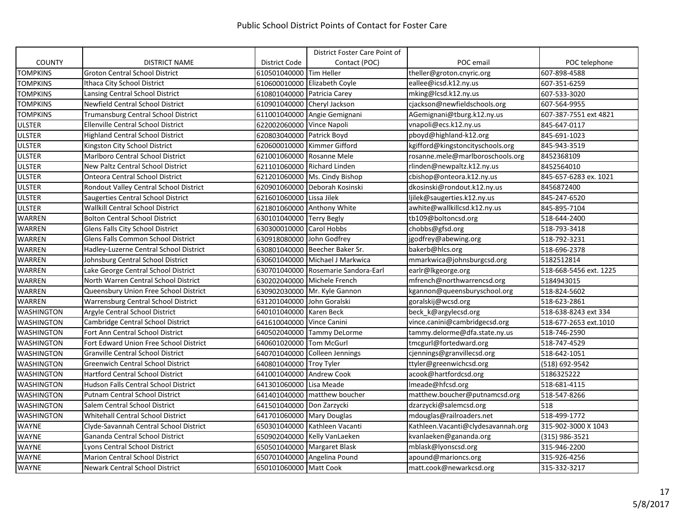|                   |                                             |                             | District Foster Care Point of       |                                    |                        |
|-------------------|---------------------------------------------|-----------------------------|-------------------------------------|------------------------------------|------------------------|
| <b>COUNTY</b>     | <b>DISTRICT NAME</b>                        | District Code               | Contact (POC)                       | POC email                          | POC telephone          |
| <b>TOMPKINS</b>   | <b>Groton Central School District</b>       | 610501040000 Tim Heller     |                                     | theller@groton.cnyric.org          | 607-898-4588           |
| <b>TOMPKINS</b>   | Ithaca City School District                 |                             | 610600010000 Elizabeth Coyle        | eallee@icsd.k12.ny.us              | 607-351-6259           |
| <b>TOMPKINS</b>   | Lansing Central School District             | 610801040000 Patricia Carey |                                     | mking@lcsd.k12.ny.us               | 607-533-3020           |
| <b>TOMPKINS</b>   | Newfield Central School District            | 610901040000 Cheryl Jackson |                                     | cjackson@newfieldschools.org       | 607-564-9955           |
| <b>TOMPKINS</b>   | Trumansburg Central School District         |                             | 611001040000 Angie Gemignani        | AGemignani@tburg.k12.ny.us         | 607-387-7551 ext 4821  |
| <b>ULSTER</b>     | <b>Ellenville Central School District</b>   | 622002060000 Vince Napoli   |                                     | vnapoli@ecs.k12.ny.us              | 845-647-0117           |
| <b>ULSTER</b>     | <b>Highland Central School District</b>     | 620803040000 Patrick Boyd   |                                     | pboyd@highland-k12.org             | 845-691-1023           |
| <b>ULSTER</b>     | Kingston City School District               |                             | 620600010000 Kimmer Gifford         | kgifford@kingstoncityschools.org   | 845-943-3519           |
| <b>ULSTER</b>     | <b>Marlboro Central School District</b>     | 621001060000 Rosanne Mele   |                                     | rosanne.mele@marlboroschools.org   | 8452368109             |
| <b>ULSTER</b>     | New Paltz Central School District           | 621101060000 Richard Linden |                                     | rlinden@newpaltz.k12.ny.us         | 8452564010             |
| <b>ULSTER</b>     | <b>Onteora Central School District</b>      |                             | 621201060000 Ms. Cindy Bishop       | cbishop@onteora.k12.ny.us          | 845-657-6283 ex. 1021  |
| <b>ULSTER</b>     | Rondout Valley Central School District      |                             | 620901060000 Deborah Kosinski       | dkosinski@rondout.k12.ny.us        | 8456872400             |
| <b>ULSTER</b>     | Saugerties Central School District          | 621601060000 Lissa Jilek    |                                     | ljilek@saugerties.k12.ny.us        | 845-247-6520           |
| <b>ULSTER</b>     | <b>Wallkill Central School District</b>     |                             | 621801060000 Anthony White          | awhite@wallkillcsd.k12.ny.us       | 845-895-7104           |
| <b>WARREN</b>     | <b>Bolton Central School District</b>       | 630101040000 Terry Begly    |                                     | tb109@boltoncsd.org                | 518-644-2400           |
| <b>WARREN</b>     | Glens Falls City School District            | 630300010000 Carol Hobbs    |                                     | chobbs@gfsd.org                    | 518-793-3418           |
| WARREN            | Glens Falls Common School District          | 630918080000 John Godfrey   |                                     | jgodfrey@abewing.org               | 518-792-3231           |
| WARREN            | Hadley-Luzerne Central School District      |                             | 630801040000 Beecher Baker Sr.      | bakerb@hlcs.org                    | 518-696-2378           |
| WARREN            | Johnsburg Central School District           |                             | 630601040000 Michael J Markwica     | mmarkwica@johnsburgcsd.org         | 5182512814             |
| <b>WARREN</b>     | Lake George Central School District         |                             | 630701040000 Rosemarie Sandora-Earl | earlr@lkgeorge.org                 | 518-668-5456 ext. 1225 |
| <b>WARREN</b>     | North Warren Central School District        |                             | 630202040000 Michele French         | mfrench@northwarrencsd.org         | 5184943015             |
| <b>WARREN</b>     | Queensbury Union Free School District       |                             | 630902030000 Mr. Kyle Gannon        | kgannon@queensburyschool.org       | 518-824-5602           |
| <b>WARREN</b>     | <b>Warrensburg Central School District</b>  | 631201040000 John Goralski  |                                     | goralskij@wcsd.org                 | 518-623-2861           |
| <b>WASHINGTON</b> | Argyle Central School District              | 640101040000 Karen Beck     |                                     | beck k@argylecsd.org               | 518-638-8243 ext 334   |
| <b>WASHINGTON</b> | Cambridge Central School District           | 641610040000 Vince Canini   |                                     | vince.canini@cambridgecsd.org      | 518-677-2653 ext.1010  |
| <b>WASHINGTON</b> | Fort Ann Central School District            |                             | 640502040000 Tammy DeLorme          | tammy.delorme@dfa.state.ny.us      | 518-746-2590           |
| <b>WASHINGTON</b> | Fort Edward Union Free School District      | 640601020000 Tom McGurl     |                                     | tmcgurl@fortedward.org             | 518-747-4529           |
| <b>WASHINGTON</b> | <b>Granville Central School District</b>    |                             | 640701040000 Colleen Jennings       | cjennings@granvillecsd.org         | 518-642-1051           |
| <b>WASHINGTON</b> | <b>Greenwich Central School District</b>    | 640801040000 Troy Tyler     |                                     | ttyler@greenwichcsd.org            | (518) 692-9542         |
| <b>WASHINGTON</b> | Hartford Central School District            | 641001040000 Andrew Cook    |                                     | acook@hartfordcsd.org              | 5186325222             |
| <b>WASHINGTON</b> | <b>Hudson Falls Central School District</b> | 641301060000 Lisa Meade     |                                     | Imeade@hfcsd.org                   | 518-681-4115           |
| <b>WASHINGTON</b> | <b>Putnam Central School District</b>       |                             | 641401040000 matthew boucher        | matthew.boucher@putnamcsd.org      | 518-547-8266           |
| <b>WASHINGTON</b> | Salem Central School District               | 641501040000 Don Zarzycki   |                                     | dzarzycki@salemcsd.org             | 518                    |
| <b>WASHINGTON</b> | <b>Whitehall Central School District</b>    | 641701060000 Mary Douglas   |                                     | mdouglas@railroaders.net           | 518-499-1772           |
| <b>WAYNE</b>      | Clyde-Savannah Central School District      |                             | 650301040000 Kathleen Vacanti       | Kathleen.Vacanti@clydesavannah.org | 315-902-3000 X 1043    |
| <b>WAYNE</b>      | Gananda Central School District             |                             | 650902040000 Kelly VanLaeken        | kvanlaeken@gananda.org             | (315) 986-3521         |
| <b>WAYNE</b>      | Lyons Central School District               |                             | 650501040000 Margaret Blask         | mblask@lyonscsd.org                | 315-946-2200           |
| <b>WAYNE</b>      | <b>Marion Central School District</b>       |                             | 650701040000 Angelina Pound         | apound@marioncs.org                | 315-926-4256           |
| <b>WAYNE</b>      | <b>Newark Central School District</b>       | 650101060000 Matt Cook      |                                     | matt.cook@newarkcsd.org            | 315-332-3217           |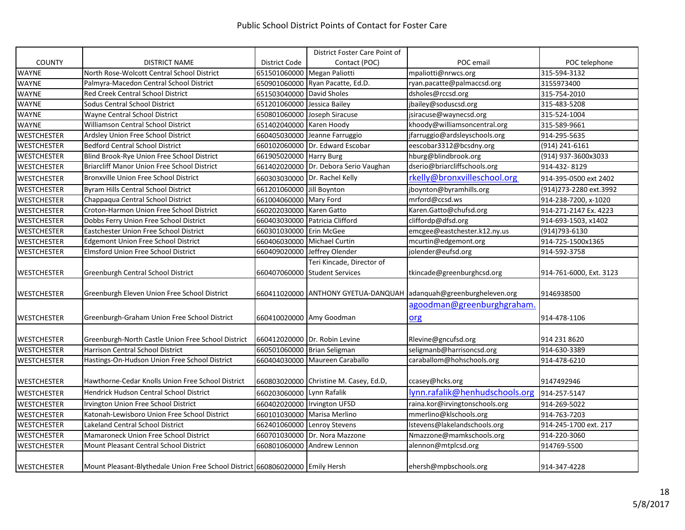|                    |                                                                               |                             | District Foster Care Point of          |                                                                   |                          |
|--------------------|-------------------------------------------------------------------------------|-----------------------------|----------------------------------------|-------------------------------------------------------------------|--------------------------|
| <b>COUNTY</b>      | <b>DISTRICT NAME</b>                                                          | District Code               | Contact (POC)                          | POC email                                                         | POC telephone            |
| <b>WAYNE</b>       | North Rose-Wolcott Central School District                                    | 651501060000 Megan Paliotti |                                        | mpaliotti@nrwcs.org                                               | 315-594-3132             |
| WAYNE              | Palmyra-Macedon Central School District                                       |                             | 650901060000 Ryan Pacatte, Ed.D.       | ryan.pacatte@palmaccsd.org                                        | 3155973400               |
| <b>WAYNE</b>       | Red Creek Central School District                                             | 651503040000 David Sholes   |                                        | dsholes@rccsd.org                                                 | 315-754-2010             |
| <b>WAYNE</b>       | Sodus Central School District                                                 | 651201060000                | Jessica Bailey                         | jbailey@soduscsd.org                                              | 315-483-5208             |
| <b>WAYNE</b>       | Wayne Central School District                                                 |                             | 650801060000 Joseph Siracuse           | jsiracuse@waynecsd.org                                            | 315-524-1004             |
| <b>WAYNE</b>       | Williamson Central School District                                            | 651402040000 Karen Hoody    |                                        | khoody@williamsoncentral.org                                      | 315-589-9661             |
| <b>WESTCHESTER</b> | Ardsley Union Free School District                                            |                             | 660405030000 Jeanne Farruggio          | jfarruggio@ardsleyschools.org                                     | 914-295-5635             |
| <b>WESTCHESTER</b> | <b>Bedford Central School District</b>                                        |                             | 660102060000 Dr. Edward Escobar        | eescobar3312@bcsdny.org                                           | (914) 241-6161           |
| <b>WESTCHESTER</b> | Blind Brook-Rye Union Free School District                                    | 661905020000 Harry Burg     |                                        | hburg@blindbrook.org                                              | (914) 937-3600x3033      |
| <b>WESTCHESTER</b> | Briarcliff Manor Union Free School District                                   |                             | 661402020000 Dr. Debora Serio Vaughan  | dserio@briarcliffschools.org                                      | 914-432-8129             |
| <b>WESTCHESTER</b> | <b>Bronxville Union Free School District</b>                                  |                             | 660303030000 Dr. Rachel Kelly          | rkelly@bronxvilleschool.org                                       | 914-395-0500 ext 2402    |
| <b>WESTCHESTER</b> | Byram Hills Central School District                                           | 661201060000 Jill Boynton   |                                        | jboynton@byramhills.org                                           | (914) 273-2280 ext. 3992 |
| <b>WESTCHESTER</b> | Chappaqua Central School District                                             | 661004060000 Mary Ford      |                                        | mrford@ccsd.ws                                                    | 914-238-7200, x-1020     |
| <b>WESTCHESTER</b> | Croton-Harmon Union Free School District                                      | 660202030000 Karen Gatto    |                                        | Karen.Gatto@chufsd.org                                            | 914-271-2147 Ex. 4223    |
| <b>WESTCHESTER</b> | Dobbs Ferry Union Free School District                                        |                             | 660403030000 Patricia Clifford         | cliffordp@dfsd.org                                                | 914-693-1503, x1402      |
| <b>WESTCHESTER</b> | Eastchester Union Free School District                                        | 660301030000 Erin McGee     |                                        | emcgee@eastchester.k12.ny.us                                      | (914) 793-6130           |
| <b>WESTCHESTER</b> | Edgemont Union Free School District                                           | 660406030000                | <b>Michael Curtin</b>                  | mcurtin@edgemont.org                                              | 914-725-1500x1365        |
| <b>WESTCHESTER</b> | <b>Elmsford Union Free School District</b>                                    |                             | 660409020000 Jeffrey Olender           | jolender@eufsd.org                                                | 914-592-3758             |
|                    |                                                                               |                             | Teri Kincade, Director of              |                                                                   |                          |
| <b>WESTCHESTER</b> | Greenburgh Central School District                                            |                             | 660407060000 Student Services          | tkincade@greenburghcsd.org                                        | 914-761-6000, Ext. 3123  |
|                    |                                                                               |                             |                                        |                                                                   |                          |
| <b>WESTCHESTER</b> | Greenburgh Eleven Union Free School District                                  |                             |                                        | 660411020000 ANTHONY GYETUA-DANQUAH adanquah@greenburgheleven.org | 9146938500               |
|                    |                                                                               |                             |                                        | agoodman@greenburghgraham                                         |                          |
| <b>WESTCHESTER</b> | Greenburgh-Graham Union Free School District                                  |                             | 660410020000 Amy Goodman               | org                                                               | 914-478-1106             |
|                    |                                                                               |                             |                                        |                                                                   |                          |
| <b>WESTCHESTER</b> | Greenburgh-North Castle Union Free School District                            |                             | 660412020000 Dr. Robin Levine          | Rlevine@gncufsd.org                                               | 914 231 8620             |
| <b>WESTCHESTER</b> | Harrison Central School District                                              | 660501060000 Brian Seligman |                                        | seligmanb@harrisoncsd.org                                         | 914-630-3389             |
| <b>WESTCHESTER</b> | Hastings-On-Hudson Union Free School District                                 |                             | 660404030000 Maureen Caraballo         | caraballom@hohschools.org                                         | 914-478-6210             |
|                    |                                                                               |                             |                                        |                                                                   |                          |
| <b>WESTCHESTER</b> | Hawthorne-Cedar Knolls Union Free School District                             |                             | 660803020000 Christine M. Casey, Ed.D, | ccasey@hcks.org                                                   | 9147492946               |
| <b>WESTCHESTER</b> | Hendrick Hudson Central School District                                       | 660203060000 Lynn Rafalik   |                                        | lynn.rafalik@henhudschools.org                                    | 914-257-5147             |
| <b>WESTCHESTER</b> | Irvington Union Free School District                                          |                             | 660402020000 Irvington UFSD            | raina.kor@irvingtonschools.org                                    | 914-269-5022             |
| <b>WESTCHESTER</b> | Katonah-Lewisboro Union Free School District                                  |                             | 660101030000 Marisa Merlino            | mmerlino@klschools.org                                            | 914-763-7203             |
| <b>WESTCHESTER</b> | Lakeland Central School District                                              |                             | 662401060000 Lenroy Stevens            | Istevens@lakelandschools.org                                      | 914-245-1700 ext. 217    |
| <b>WESTCHESTER</b> | Mamaroneck Union Free School District                                         | 660701030000                | Dr. Nora Mazzone                       | Nmazzone@mamkschools.org                                          | 914-220-3060             |
| <b>WESTCHESTER</b> | Mount Pleasant Central School District                                        | 660801060000                | Andrew Lennon                          | alennon@mtplcsd.org                                               | 914769-5500              |
|                    |                                                                               |                             |                                        |                                                                   |                          |
| <b>WESTCHESTER</b> | Mount Pleasant-Blythedale Union Free School District 660806020000 Emily Hersh |                             |                                        | ehersh@mpbschools.org                                             | 914-347-4228             |